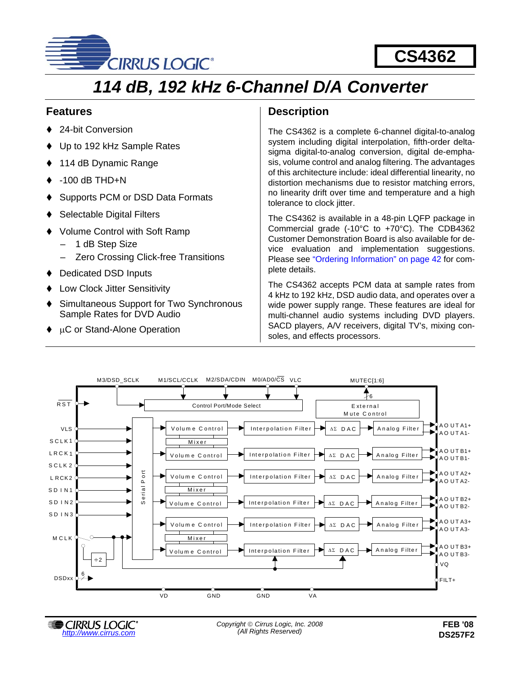

# **CS4362**

# *114 dB, 192 kHz 6-Channel D/A Converter*

# **Features**

- 24-bit Conversion
- Up to 192 kHz Sample Rates
- 114 dB Dynamic Range
- $-100$  dB THD $+N$
- Supports PCM or DSD Data Formats
- Selectable Digital Filters
- Volume Control with Soft Ramp
	- 1 dB Step Size
	- Zero Crossing Click-free Transitions
- Dedicated DSD Inputs
- Low Clock Jitter Sensitivity
- Simultaneous Support for Two Synchronous Sample Rates for DVD Audio
- μC or Stand-Alone Operation

# **Description**

The CS4362 is a complete 6-channel digital-to-analog system including digital interpolation, fifth-order deltasigma digital-to-analog conversion, digital de-emphasis, volume control and analog filtering. The advantages of this architecture include: ideal differential linearity, no distortion mechanisms due to resistor matching errors, no linearity drift over time and temperature and a high tolerance to clock jitter.

The CS4362 is available in a 48-pin LQFP package in Commercial grade (-10°C to +70°C). The CDB4362 Customer Demonstration Board is also available for device evaluation and implementation suggestions. Please see ["Ordering Information" on page 42](#page-41-0) for complete details.

The CS4362 accepts PCM data at sample rates from 4 kHz to 192 kHz, DSD audio data, and operates over a wide power supply range. These features are ideal for multi-channel audio systems including DVD players. SACD players, A/V receivers, digital TV's, mixing consoles, and effects processors.

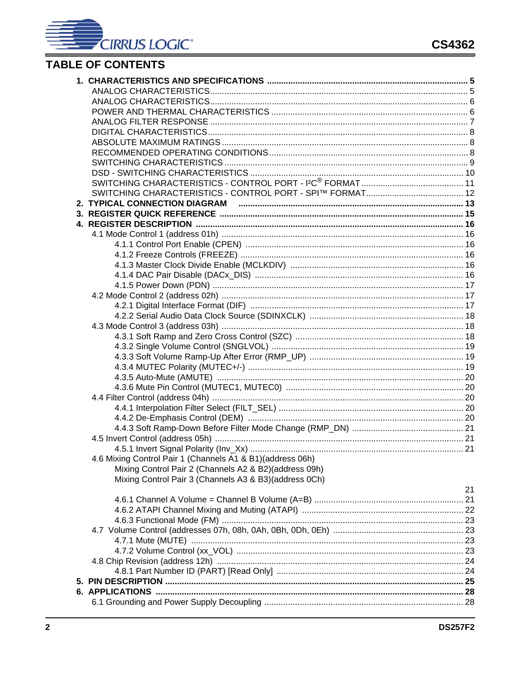# **TABLE OF CONTENTS**

| 4.6 Mixing Control Pair 1 (Channels A1 & B1)(address 06h) |    |
|-----------------------------------------------------------|----|
| Mixing Control Pair 2 (Channels A2 & B2) (address 09h)    |    |
| Mixing Control Pair 3 (Channels A3 & B3) (address 0Ch)    |    |
|                                                           | 21 |
|                                                           |    |
|                                                           |    |
|                                                           |    |
|                                                           |    |
|                                                           |    |
|                                                           |    |
|                                                           |    |
|                                                           |    |
|                                                           |    |
|                                                           |    |
|                                                           |    |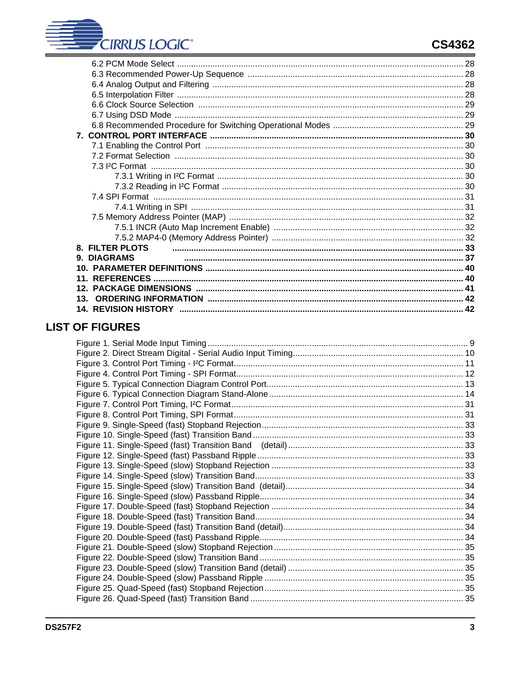| <b>8. FILTER PLOTS</b> |  |
|------------------------|--|
| <b>9. DIAGRAMS</b>     |  |
| 10.                    |  |
|                        |  |
| 12                     |  |
| 13                     |  |
|                        |  |
|                        |  |

# **LIST OF FIGURES**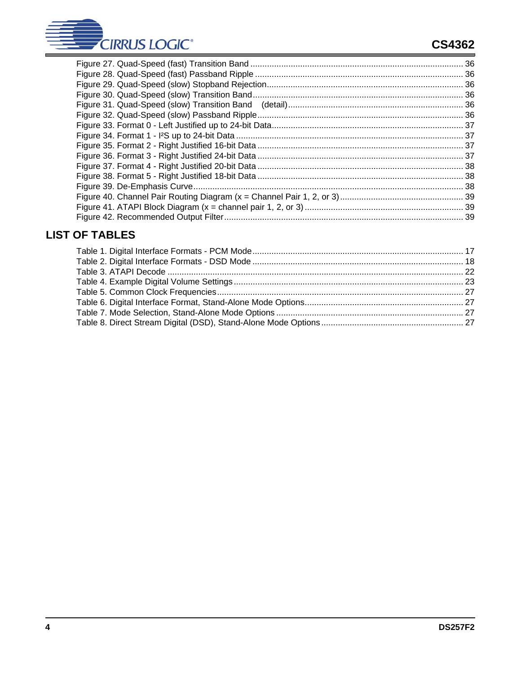

# **CS4362**

# **LIST OF TABLES**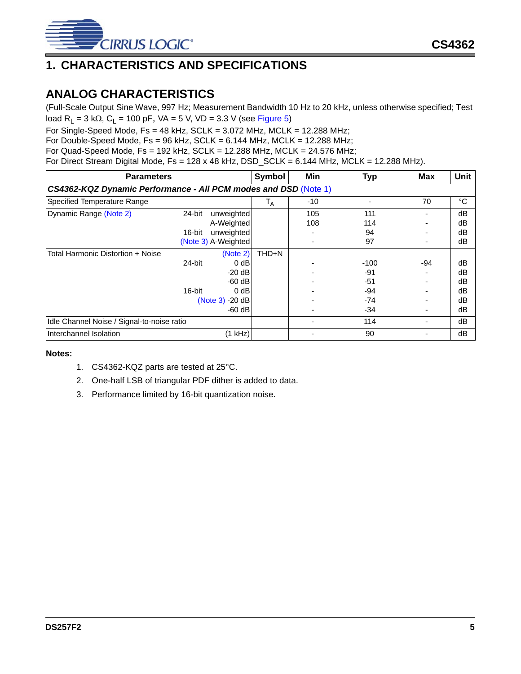

# <span id="page-4-0"></span>**1. CHARACTERISTICS AND SPECIFICATIONS**

# <span id="page-4-1"></span>**ANALOG CHARACTERISTICS**

(Full-Scale Output Sine Wave, 997 Hz; Measurement Bandwidth 10 Hz to 20 kHz, unless otherwise specified; Test load R<sub>L</sub> = 3 kΩ, C<sub>L</sub> = 100 pF, VA = 5 V, VD = 3.3 V (see [Figure 5\)](#page-12-1)

For Single-Speed Mode,  $Fs = 48$  kHz,  $SCLK = 3.072$  MHz,  $MCLK = 12.288$  MHz;

For Double-Speed Mode, Fs = 96 kHz, SCLK = 6.144 MHz, MCLK = 12.288 MHz;

For Quad-Speed Mode, Fs = 192 kHz, SCLK = 12.288 MHz, MCLK = 24.576 MHz;

For Direct Stream Digital Mode,  $Fs = 128 \times 48$  kHz,  $DSD\_SCLK = 6.144$  MHz,  $MCLK = 12.288$  MHz).

| <b>Parameters</b>                                               |                  |                                                                                       | Symbol | Min                      | <b>Typ</b>                                  | <b>Max</b> | <b>Unit</b>                      |
|-----------------------------------------------------------------|------------------|---------------------------------------------------------------------------------------|--------|--------------------------|---------------------------------------------|------------|----------------------------------|
| CS4362-KQZ Dynamic Performance - All PCM modes and DSD (Note 1) |                  |                                                                                       |        |                          |                                             |            |                                  |
| Specified Temperature Range                                     |                  | $\mathsf{I}_{\mathsf{A}}$                                                             | $-10$  | $\overline{\phantom{a}}$ | 70                                          | °C         |                                  |
| Dynamic Range (Note 2)                                          | 24-bit<br>16-bit | unweighted<br>A-Weighted<br>unweighted<br>(Note 3) A-Weighted                         |        | 105<br>108               | 111<br>114<br>94<br>97                      |            | dB<br>dB<br>dB<br>dB             |
| Total Harmonic Distortion + Noise                               | 24-bit<br>16-bit | (Note 2)<br>$0$ dB<br>$-20$ dB<br>$-60$ dB<br>$0$ dB<br>$(Note 3) -20 dB$<br>$-60$ dB | THD+N  |                          | $-100$<br>-91<br>-51<br>$-94$<br>-74<br>-34 | -94        | dB<br>dB<br>dB<br>dB<br>dB<br>dB |
| Idle Channel Noise / Signal-to-noise ratio                      |                  |                                                                                       |        |                          | 114                                         | ٠          | dB                               |
| Interchannel Isolation                                          |                  | $(1$ kHz)                                                                             |        |                          | 90                                          |            | dB                               |

- <span id="page-4-2"></span>1. CS4362-KQZ parts are tested at 25°C.
- <span id="page-4-3"></span>2. One-half LSB of triangular PDF dither is added to data.
- <span id="page-4-4"></span>3. Performance limited by 16-bit quantization noise.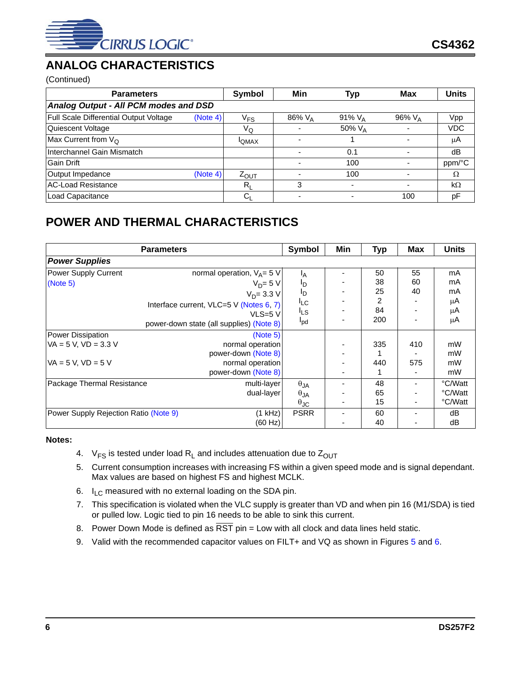

# <span id="page-5-0"></span>**ANALOG CHARACTERISTICS**

(Continued)

| <b>Parameters</b>                      |          | <b>Symbol</b> | Min                | Typ                | <b>Max</b> | <b>Units</b> |  |  |  |
|----------------------------------------|----------|---------------|--------------------|--------------------|------------|--------------|--|--|--|
| Analog Output - All PCM modes and DSD  |          |               |                    |                    |            |              |  |  |  |
| Full Scale Differential Output Voltage | (Note 4) | $\rm V_{FS}$  | 86% V <sub>A</sub> | 91% $V_A$          | 96% VA     | Vpp          |  |  |  |
| Quiescent Voltage                      |          | VQ            |                    | 50% V <sub>A</sub> |            | <b>VDC</b>   |  |  |  |
| Max Current from $V_{\Omega}$          |          | <b>I</b> QMAX |                    |                    |            | μA           |  |  |  |
| Interchannel Gain Mismatch             |          |               |                    | 0.1                |            | dB           |  |  |  |
| Gain Drift                             |          |               |                    | 100                |            | ppm/°C       |  |  |  |
| Output Impedance                       | (Note 4) | $Z_{OUT}$     |                    | 100                |            | Ω            |  |  |  |
| <b>AC-Load Resistance</b>              |          | $R_{I}$       | 3                  |                    |            | $k\Omega$    |  |  |  |
| Load Capacitance                       |          | G             |                    |                    | 100        | рF           |  |  |  |

# <span id="page-5-1"></span>**POWER AND THERMAL CHARACTERISTICS**

|                                       | <b>Parameters</b>                        | <b>Symbol</b>        | Min | <b>Typ</b> | <b>Max</b>               | <b>Units</b> |
|---------------------------------------|------------------------------------------|----------------------|-----|------------|--------------------------|--------------|
| <b>Power Supplies</b>                 |                                          |                      |     |            |                          |              |
| Power Supply Current                  | normal operation, $V_A = 5 V$            | <sup>1</sup> A       |     | 50         | 55                       | mA           |
| (Note 5)                              | $V_D = 5 V$                              | סי                   |     | 38         | 60                       | mA           |
|                                       | $V_D = 3.3 V$                            | סי                   |     | 25         | 40                       | mA           |
|                                       | Interface current, VLC=5 V (Notes 6, 7)  | $I_{LC}$             |     | 2          |                          | μA           |
|                                       | $VLS=5 V$                                | <sup>I</sup> LS      |     | 84         |                          | μA           |
|                                       | power-down state (all supplies) (Note 8) | $I_{\text{pd}}$      |     | 200        |                          | μA           |
| Power Dissipation                     | (Note 5)                                 |                      |     |            |                          |              |
| $VA = 5 V$ , $VD = 3.3 V$             | normal operation                         |                      |     | 335        | 410                      | mW           |
|                                       | power-down (Note 8)                      |                      |     |            |                          | mW           |
| $VA = 5 V$ , $VD = 5 V$               | normal operation                         |                      |     | 440        | 575                      | mW           |
|                                       | power-down (Note 8)                      |                      |     |            |                          | mW           |
| Package Thermal Resistance            | multi-layer                              | $\theta_{JA}$        |     | 48         | ۰                        | °C/Watt      |
|                                       | dual-layer                               | $\theta_{JA}$        |     | 65         |                          | °C/Watt      |
|                                       |                                          | $\theta_{\text{JC}}$ |     | 15         |                          | °C/Watt      |
| Power Supply Rejection Ratio (Note 9) | (1 kHz)                                  | <b>PSRR</b>          |     | 60         | $\overline{\phantom{a}}$ | dB           |
|                                       | (60 Hz)                                  |                      |     | 40         |                          | dB           |

- <span id="page-5-6"></span>4.  $V_{FS}$  is tested under load R<sub>L</sub> and includes attenuation due to  $Z_{OUT}$
- <span id="page-5-2"></span>5. Current consumption increases with increasing FS within a given speed mode and is signal dependant. Max values are based on highest FS and highest MCLK.
- <span id="page-5-3"></span>6.  $I_{IC}$  measured with no external loading on the SDA pin.
- <span id="page-5-7"></span>7. This specification is violated when the VLC supply is greater than VD and when pin 16 (M1/SDA) is tied or pulled low. Logic tied to pin 16 needs to be able to sink this current.
- <span id="page-5-4"></span>8. Power Down Mode is defined as  $\overline{\text{RST}}$  pin = Low with all clock and data lines held static.
- <span id="page-5-5"></span>9. Valid with the recommended capacitor values on FILT+ and VQ as shown in Figures [5](#page-12-1) and [6.](#page-13-0)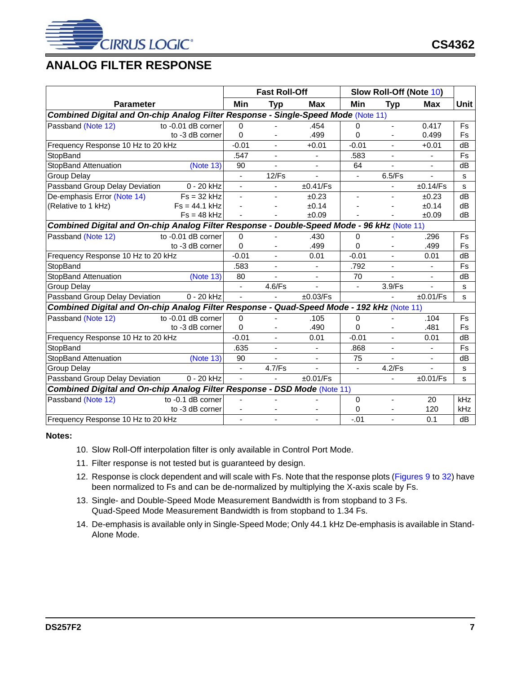

# <span id="page-6-0"></span>**ANALOG FILTER RESPONSE**

|                                                                                            |                    | <b>Fast Roll-Off</b>     |                |                          | Slow Roll-Off (Note 10) |                          |                          |             |
|--------------------------------------------------------------------------------------------|--------------------|--------------------------|----------------|--------------------------|-------------------------|--------------------------|--------------------------|-------------|
| <b>Parameter</b>                                                                           |                    | Min                      | <b>Typ</b>     | Max                      | Min                     | <b>Typ</b>               | <b>Max</b>               | <b>Unit</b> |
| Combined Digital and On-chip Analog Filter Response - Single-Speed Mode (Note 11)          |                    |                          |                |                          |                         |                          |                          |             |
| Passband (Note 12)                                                                         | to -0.01 dB corner | $\Omega$                 |                | .454                     | $\mathbf 0$             | $\blacksquare$           | 0.417                    | Fs          |
|                                                                                            | to -3 dB corner    | $\Omega$                 |                | .499                     | $\Omega$                |                          | 0.499                    | <b>Fs</b>   |
| Frequency Response 10 Hz to 20 kHz                                                         |                    | $-0.01$                  |                | $+0.01$                  | $-0.01$                 |                          | $+0.01$                  | dB          |
| StopBand                                                                                   |                    | .547                     | $\sim$         | $\blacksquare$           | .583                    | $\blacksquare$           | $\sim$                   | Fs          |
| StopBand Attenuation                                                                       | (Note 13)          | 90                       |                |                          | 64                      |                          |                          | dB          |
| <b>Group Delay</b>                                                                         |                    |                          | 12/Fs          |                          | $\blacksquare$          | 6.5/Fs                   |                          | S.          |
| Passband Group Delay Deviation                                                             | 0 - 20 kHz         | ٠                        | $\blacksquare$ | ±0.41/Fs                 |                         | ٠                        | ±0.14/Fs                 | s           |
| De-emphasis Error (Note 14)                                                                | $Fs = 32 kHz$      | -                        | $\blacksquare$ | ±0.23                    | $\blacksquare$          | ٠                        | ±0.23                    | dB          |
| (Relative to 1 kHz)                                                                        | $Fs = 44.1 kHz$    |                          |                | ±0.14                    |                         |                          | ±0.14                    | dB          |
|                                                                                            | $Fs = 48 kHz$      |                          |                | ±0.09                    |                         |                          | ±0.09                    | dB          |
| Combined Digital and On-chip Analog Filter Response - Double-Speed Mode - 96 kHz (Note 11) |                    |                          |                |                          |                         |                          |                          |             |
| Passband (Note 12)                                                                         | to -0.01 dB corner | $\Omega$                 |                | .430                     | 0                       |                          | .296                     | Fs          |
|                                                                                            | to -3 dB corner    | $\Omega$                 | ٠              | .499                     | $\Omega$                |                          | .499                     | Fs          |
| Frequency Response 10 Hz to 20 kHz                                                         |                    | $-0.01$                  |                | 0.01                     | $-0.01$                 |                          | 0.01                     | dB          |
| StopBand                                                                                   |                    | .583                     |                | $\sim$                   | .792                    |                          | $\sim$                   | Fs          |
| StopBand Attenuation                                                                       | (Note 13)          | 80                       |                | $\blacksquare$           | 70                      |                          | $\overline{\phantom{a}}$ | dB          |
| <b>Group Delay</b>                                                                         |                    | L.                       | 4.6/Fs         | $\overline{\phantom{a}}$ | $\blacksquare$          | 3.9/Fs                   | $\blacksquare$           | s           |
| Passband Group Delay Deviation                                                             | 0 - 20 kHz         | $\blacksquare$           |                | ±0.03/Fs                 |                         |                          | ±0.01/Fs                 | S           |
| Combined Digital and On-chip Analog Filter Response - Quad-Speed Mode - 192 kHz (Note 11)  |                    |                          |                |                          |                         |                          |                          |             |
| Passband (Note 12)                                                                         | to -0.01 dB corner | $\Omega$                 |                | .105                     | $\Omega$                |                          | .104                     | Fs          |
|                                                                                            | to -3 dB corner    | $\Omega$                 |                | .490                     | $\Omega$                |                          | .481                     | <b>Fs</b>   |
| Frequency Response 10 Hz to 20 kHz                                                         |                    | $-0.01$                  |                | 0.01                     | $-0.01$                 |                          | 0.01                     | dB          |
| StopBand                                                                                   |                    | .635                     |                | $\sim$                   | .868                    |                          | $\mathbf{r}$             | <b>Fs</b>   |
| StopBand Attenuation                                                                       | (Note 13)          | 90                       |                | $\overline{\phantom{a}}$ | 75                      | $\overline{\phantom{a}}$ | $\overline{\phantom{a}}$ | dB          |
| <b>Group Delay</b>                                                                         |                    | $\blacksquare$           | 4.7/Fs         | $\blacksquare$           | $\blacksquare$          | 4.2/Fs                   | $\blacksquare$           | s           |
| Passband Group Delay Deviation                                                             | 0 - 20 kHz         | L.                       |                | ±0.01/Fs                 |                         | $\blacksquare$           | ±0.01/Fs                 | S           |
| Combined Digital and On-chip Analog Filter Response - DSD Mode (Note 11)                   |                    |                          |                |                          |                         |                          |                          |             |
| Passband (Note 12)                                                                         | to -0.1 dB corner  |                          |                |                          | $\Omega$                | $\overline{\phantom{0}}$ | 20                       | kHz         |
|                                                                                            | to -3 dB corner    | $\overline{\phantom{a}}$ |                | $\overline{\phantom{a}}$ | 0                       |                          | 120                      | <b>kHz</b>  |
| Frequency Response 10 Hz to 20 kHz                                                         |                    |                          |                |                          | $-.01$                  |                          | 0.1                      | dB          |

- <span id="page-6-5"></span>10. Slow Roll-Off interpolation filter is only available in Control Port Mode.
- <span id="page-6-1"></span>11. Filter response is not tested but is guaranteed by design.
- <span id="page-6-2"></span>12. Response is clock dependent and will scale with Fs. Note that the response plots ([Figures 9](#page-32-0) to [32\)](#page-35-5) have been normalized to Fs and can be de-normalized by multiplying the X-axis scale by Fs.
- <span id="page-6-3"></span>13. Single- and Double-Speed Mode Measurement Bandwidth is from stopband to 3 Fs. Quad-Speed Mode Measurement Bandwidth is from stopband to 1.34 Fs.
- <span id="page-6-4"></span>14. De-emphasis is available only in Single-Speed Mode; Only 44.1 kHz De-emphasis is available in Stand-Alone Mode.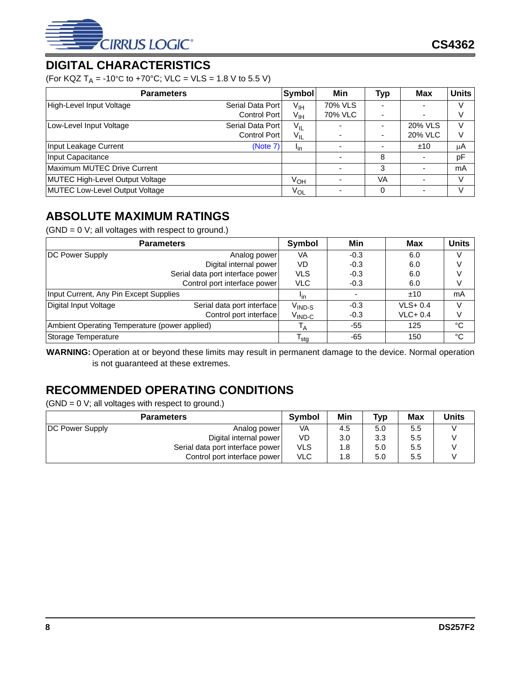

# <span id="page-7-0"></span>**DIGITAL CHARACTERISTICS**

(For KQZ T<sub>A</sub> = -10°C to +70°C; VLC = VLS = 1.8 V to 5.5 V)

| <b>Parameters</b>                      |                  | <b>Symbol</b>   | Min     | Typ                      | Max            | <b>Units</b> |
|----------------------------------------|------------------|-----------------|---------|--------------------------|----------------|--------------|
| High-Level Input Voltage               | Serial Data Port | $V_{\text{IH}}$ | 70% VLS |                          |                | V            |
|                                        | Control Port     | V <sub>IH</sub> | 70% VLC |                          |                | V            |
| Low-Level Input Voltage                | Serial Data Port | $V_{IL}$        |         | $\blacksquare$           | 20% VLS        | V            |
|                                        | Control Port     | $V_{IL}$        |         | $\overline{\phantom{a}}$ | <b>20% VLC</b> | V            |
| Input Leakage Current                  | (Note 7)         | $I_{\text{in}}$ |         |                          | ±10            | μA           |
| Input Capacitance                      |                  |                 |         | 8                        |                | pF           |
| Maximum MUTEC Drive Current            |                  |                 |         | 3                        |                | mA           |
| <b>MUTEC High-Level Output Voltage</b> |                  | $V_{OH}$        |         | VA                       |                | V            |
| MUTEC Low-Level Output Voltage         |                  | $V_{OL}$        |         | 0                        |                | V            |

# <span id="page-7-1"></span>**ABSOLUTE MAXIMUM RATINGS**

 $(GND = 0 V;$  all voltages with respect to ground.)

|                                               | <b>Parameters</b>          | Symbol                                        | Min    | Max         | <b>Units</b> |
|-----------------------------------------------|----------------------------|-----------------------------------------------|--------|-------------|--------------|
| DC Power Supply                               | Analog power               | VA                                            | $-0.3$ | 6.0         |              |
| Digital internal power                        |                            | VD                                            | $-0.3$ | 6.0         |              |
|                                               | <b>VLS</b>                 | $-0.3$                                        | 6.0    |             |              |
|                                               | <b>VLC</b>                 | $-0.3$                                        | 6.0    |             |              |
| Input Current, Any Pin Except Supplies        |                            | <sup>l</sup> in                               |        | ±10         | mA           |
| Digital Input Voltage                         | Serial data port interface | $\mathsf{V}_{\mathsf{IND}\text{-}\mathsf{S}}$ | $-0.3$ | $VLS + 0.4$ |              |
|                                               | Control port interface     | $\rm V_{\rm IND\text{-}C}$                    | $-0.3$ | $VLC + 0.4$ |              |
| Ambient Operating Temperature (power applied) | $\mathsf{I}_{\mathsf{A}}$  | -55                                           | 125    | °C          |              |
| Storage Temperature                           | <sup>I</sup> sta           | -65                                           | 150    | °C          |              |

**WARNING:** Operation at or beyond these limits may result in permanent damage to the device. Normal operation is not guaranteed at these extremes.

# <span id="page-7-2"></span>**RECOMMENDED OPERATING CONDITIONS**

 $(GND = 0 V;$  all voltages with respect to ground.)

|                        | <b>Symbol</b>                    | Min        | <b>Typ</b> | Max | <b>Units</b> |  |
|------------------------|----------------------------------|------------|------------|-----|--------------|--|
| <b>DC Power Supply</b> | Analog power                     | VA         | 4.5        | 5.0 | 5.5          |  |
|                        | Digital internal power           | VD.        | 3.0        | 3.3 | 5.5          |  |
|                        | Serial data port interface power | <b>VLS</b> | 1.8        | 5.0 | 5.5          |  |
|                        | Control port interface power     | <b>VLC</b> | 1.8        | 5.0 | 5.5          |  |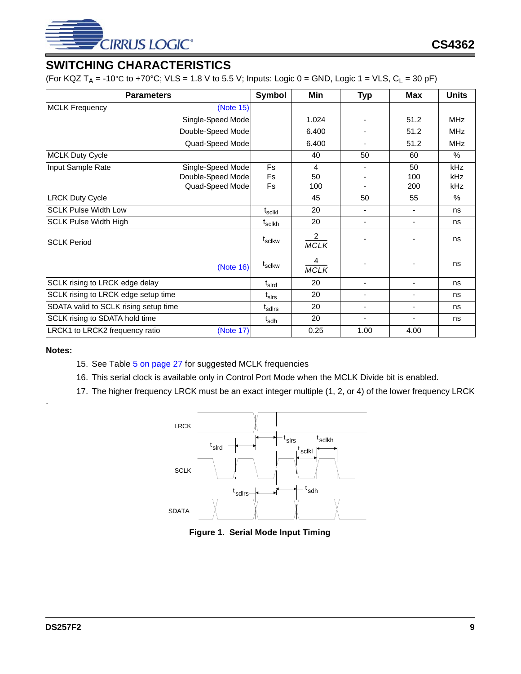

# <span id="page-8-0"></span>**SWITCHING CHARACTERISTICS**

(For KQZ T<sub>A</sub> = -10°C to +70°C; VLS = 1.8 V to 5.5 V; Inputs: Logic 0 = GND, Logic 1 = VLS, C<sub>L</sub> = 30 pF)

| <b>Parameters</b>                     |                            | <b>Symbol</b>                | Min                           | <b>Typ</b>               | <b>Max</b>               | <b>Units</b> |
|---------------------------------------|----------------------------|------------------------------|-------------------------------|--------------------------|--------------------------|--------------|
| <b>MCLK Frequency</b>                 | (Note 15)                  |                              |                               |                          |                          |              |
|                                       | Single-Speed Mode          |                              | 1.024                         |                          | 51.2                     | <b>MHz</b>   |
|                                       | Double-Speed Mode          |                              | 6.400                         |                          | 51.2                     | <b>MHz</b>   |
|                                       | Quad-Speed Mode            |                              | 6.400                         |                          | 51.2                     | <b>MHz</b>   |
| <b>MCLK Duty Cycle</b>                |                            |                              | 40                            | 50                       | 60                       | $\%$         |
| Input Sample Rate                     | Single-Speed Mode          | <b>Fs</b>                    | 4                             |                          | 50                       | <b>kHz</b>   |
|                                       | Double-Speed Mode          | <b>Fs</b>                    | 50                            |                          | 100                      | kHz          |
|                                       | Quad-Speed Mode            | Fs                           | 100                           |                          | 200                      | kHz          |
| <b>LRCK Duty Cycle</b>                |                            |                              | 45                            | 50                       | 55                       | $\%$         |
| <b>SCLK Pulse Width Low</b>           | $\mathfrak{t}_{\sf sclkl}$ | 20                           |                               | ۰                        | ns                       |              |
| <b>SCLK Pulse Width High</b>          |                            | t <sub>sclkh</sub>           | 20                            | ٠                        | ٠                        | ns           |
| <b>SCLK Period</b>                    |                            | t <sub>sclkw</sub>           | $\overline{2}$<br><b>MCLK</b> |                          |                          | ns           |
|                                       | (Note 16)                  | $t_{\rm sclkw}$              | 4<br><b>MCLK</b>              |                          |                          | ns           |
| SCLK rising to LRCK edge delay        |                            | $\mathfrak{t}_{\text{slrd}}$ | 20                            | $\overline{\phantom{a}}$ | $\blacksquare$           | ns           |
| SCLK rising to LRCK edge setup time   |                            | $t_{\sf Sirs}$               | 20                            | ٠                        | $\overline{\phantom{0}}$ | ns           |
| SDATA valid to SCLK rising setup time |                            | t <sub>sdirs</sub>           | 20                            | ٠                        | $\overline{\phantom{0}}$ | ns           |
| SCLK rising to SDATA hold time        |                            | t <sub>sdh</sub>             | 20                            | ÷,                       | $\blacksquare$           | ns           |
| LRCK1 to LRCK2 frequency ratio        | (Note 17)                  |                              | 0.25                          | 1.00                     | 4.00                     |              |

#### <span id="page-8-2"></span>**Notes:**

<span id="page-8-4"></span><span id="page-8-3"></span><span id="page-8-1"></span>.

- 15. See Table [5 on page 27](#page-26-0) for suggested MCLK frequencies
- 16. This serial clock is available only in Control Port Mode when the MCLK Divide bit is enabled.
- 17. The higher frequency LRCK must be an exact integer multiple (1, 2, or 4) of the lower frequency LRCK



**Figure 1. Serial Mode Input Timing**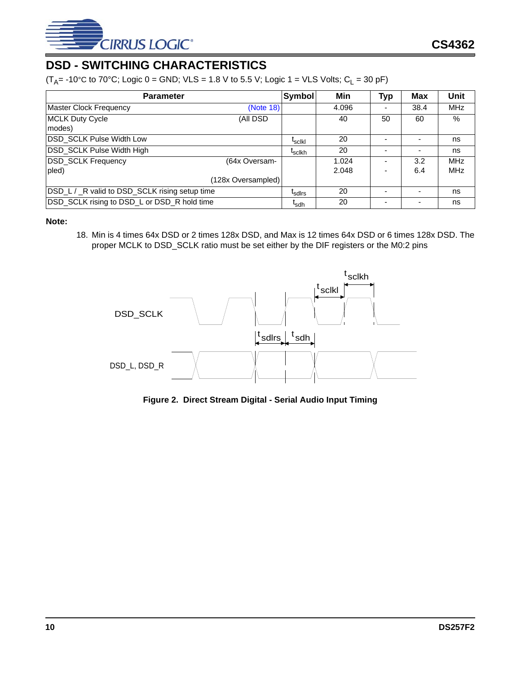

# <span id="page-9-0"></span>**DSD - SWITCHING CHARACTERISTICS**

( $T_A$ = -10°C to 70°C; Logic 0 = GND; VLS = 1.8 V to 5.5 V; Logic 1 = VLS Volts; C<sub>L</sub> = 30 pF)

| <b>Parameter</b>                               | <b>Symbol</b>      | Min                | Typ   | <b>Max</b> | Unit |            |
|------------------------------------------------|--------------------|--------------------|-------|------------|------|------------|
| <b>Master Clock Frequency</b>                  | (Note 18)          |                    | 4.096 |            | 38.4 | <b>MHz</b> |
| <b>MCLK Duty Cycle</b>                         | (All DSD           |                    | 40    | 50         | 60   | %          |
| modes)                                         |                    |                    |       |            |      |            |
| DSD_SCLK Pulse Width Low                       |                    | <sup>L</sup> scikl | 20    |            |      | ns         |
| DSD_SCLK Pulse Width High                      |                    | <sup>I</sup> sclkh | 20    |            |      | ns         |
| <b>DSD_SCLK Frequency</b>                      | (64x Oversam-      |                    | 1.024 |            | 3.2  | <b>MHz</b> |
| pled)                                          |                    |                    | 2.048 |            | 6.4  | <b>MHz</b> |
|                                                | (128x Oversampled) |                    |       |            |      |            |
| DSD_L / _R valid to DSD_SCLK rising setup time | <sup>L</sup> sdlrs | 20                 |       |            | ns   |            |
| DSD_SCLK rising to DSD_L or DSD_R hold time    |                    | <sup>I</sup> sdh   | 20    |            |      | ns         |

#### <span id="page-9-2"></span>**Note:**

18. Min is 4 times 64x DSD or 2 times 128x DSD, and Max is 12 times 64x DSD or 6 times 128x DSD. The proper MCLK to DSD\_SCLK ratio must be set either by the DIF registers or the M0:2 pins



<span id="page-9-1"></span>**Figure 2. Direct Stream Digital - Serial Audio Input Timing**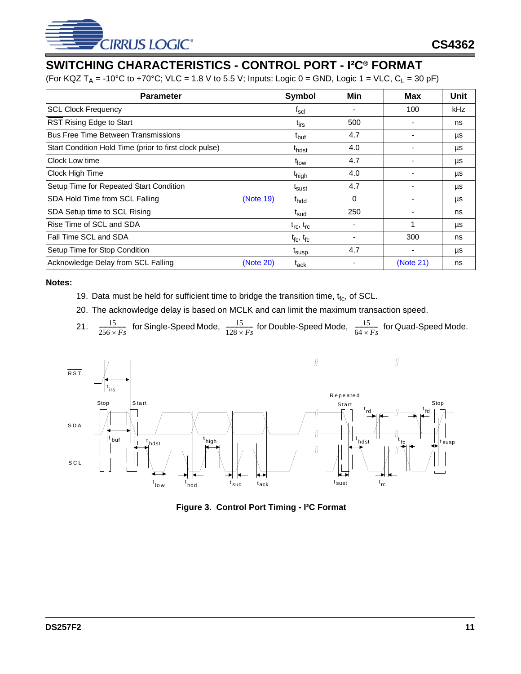

# <span id="page-10-0"></span>**SWITCHING CHARACTERISTICS - CONTROL PORT - I²C® FORMAT**

(For KQZ T<sub>A</sub> = -10°C to +70°C; VLC = 1.8 V to 5.5 V; Inputs: Logic 0 = GND, Logic 1 = VLC, C<sub>L</sub> = 30 pF)

| <b>Parameter</b>                                       | <b>Symbol</b>               | Min      | Max       | Unit |
|--------------------------------------------------------|-----------------------------|----------|-----------|------|
| <b>SCL Clock Frequency</b>                             | $f_{\rm scl}$               |          | 100       | kHz. |
| RST Rising Edge to Start                               | $t_{irs}$                   | 500      |           | ns   |
| <b>Bus Free Time Between Transmissions</b>             | t <sub>buf</sub>            | 4.7      |           | μs   |
| Start Condition Hold Time (prior to first clock pulse) | t <sub>hdst</sub>           | 4.0      |           | μs   |
| Clock Low time                                         | t <sub>low</sub>            | 4.7      |           | μs   |
| Clock High Time                                        | t <sub>high</sub>           | 4.0      |           | μs   |
| Setup Time for Repeated Start Condition                | <sup>I</sup> sust           | 4.7      |           | μs   |
| SDA Hold Time from SCL Falling<br>(Note 19)            | t <sub>hdd</sub>            | $\Omega$ |           | μs   |
| SDA Setup time to SCL Rising                           | t <sub>sud</sub>            | 250      |           | ns   |
| Rise Time of SCL and SDA                               | $t_{\rm rc}$ , $t_{\rm rc}$ |          |           | μs   |
| Fall Time SCL and SDA                                  | $t_{\rm fc}$ , $t_{\rm fc}$ |          | 300       | ns   |
| Setup Time for Stop Condition                          | <sup>L</sup> susp           | 4.7      |           | μs   |
| Acknowledge Delay from SCL Falling<br>(Note 20)        | $t_{ack}$                   |          | (Note 21) | ns   |

- <span id="page-10-2"></span>19. Data must be held for sufficient time to bridge the transition time,  $t_{fc}$ , of SCL.
- <span id="page-10-3"></span>20. The acknowledge delay is based on MCLK and can limit the maximum transaction speed.
- 21.  $\frac{15}{256 \times F_s}$  for Single-Speed Mode,  $\frac{15}{128 \times F_s}$  for Double-Speed Mode,  $\frac{15}{64 \times F_s}$  for Quad-Speed Mode.

<span id="page-10-4"></span>

<span id="page-10-1"></span>**Figure 3. Control Port Timing - I²C Format**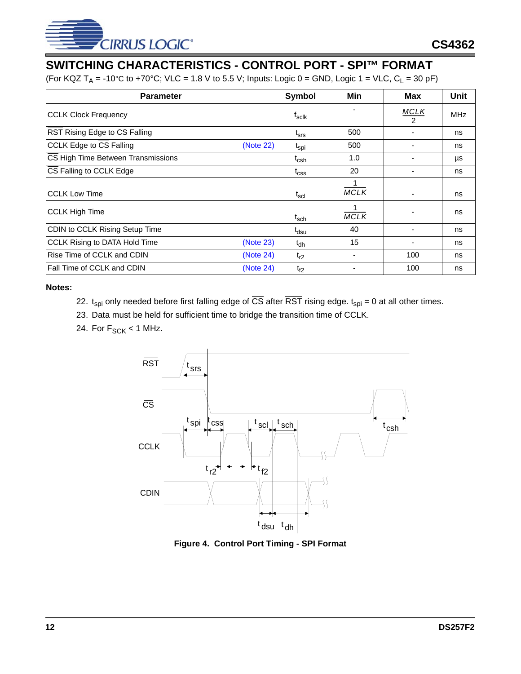

# <span id="page-11-0"></span>**SWITCHING CHARACTERISTICS - CONTROL PORT - SPI™ FORMAT**

(For KQZ T<sub>A</sub> = -10°C to +70°C; VLC = 1.8 V to 5.5 V; Inputs: Logic 0 = GND, Logic 1 = VLC, C<sub>L</sub> = 30 pF)

| <b>Parameter</b>                               | Symbol             | Min               | Max                          | <b>Unit</b> |
|------------------------------------------------|--------------------|-------------------|------------------------------|-------------|
| <b>CCLK Clock Frequency</b>                    | $f_{\sf sclk}$     |                   | <b>MCLK</b><br>$\mathcal{P}$ | <b>MHz</b>  |
| RST Rising Edge to CS Falling                  | $t_{\rm srs}$      | 500               |                              | ns          |
| CCLK Edge to CS Falling<br>(Note 22)           | t <sub>spi</sub>   | 500               |                              | ns          |
| CS High Time Between Transmissions             | $t_{\mathsf{csh}}$ | 1.0               |                              | μs          |
| CS Falling to CCLK Edge                        | $t_{\rm CSS}$      | 20                |                              | ns          |
| ICCLK Low Time                                 | $t_{\rm scl}$      | 1.<br><b>MCLK</b> |                              | ns          |
| CCLK High Time                                 | $t_{\sf sch}$      | <b>MCLK</b>       |                              | ns          |
| CDIN to CCLK Rising Setup Time                 | t <sub>dsu</sub>   | 40                |                              | ns          |
| CCLK Rising to DATA Hold Time<br>(Note 23)     | $t_{dh}$           | 15                |                              | ns          |
| <b>Rise Time of CCLK and CDIN</b><br>(Note 24) | $t_{r2}$           |                   | 100                          | ns          |
| Fall Time of CCLK and CDIN<br>(Note 24)        | $t_{f2}$           |                   | 100                          | ns          |

- <span id="page-11-2"></span>22.  $t_{spi}$  only needed before first falling edge of  $\overline{CS}$  after  $\overline{RST}$  rising edge.  $t_{spi} = 0$  at all other times.
- <span id="page-11-3"></span>23. Data must be held for sufficient time to bridge the transition time of CCLK.
- <span id="page-11-4"></span>24. For  $F_{SCK}$  < 1 MHz.



<span id="page-11-1"></span>**Figure 4. Control Port Timing - SPI Format**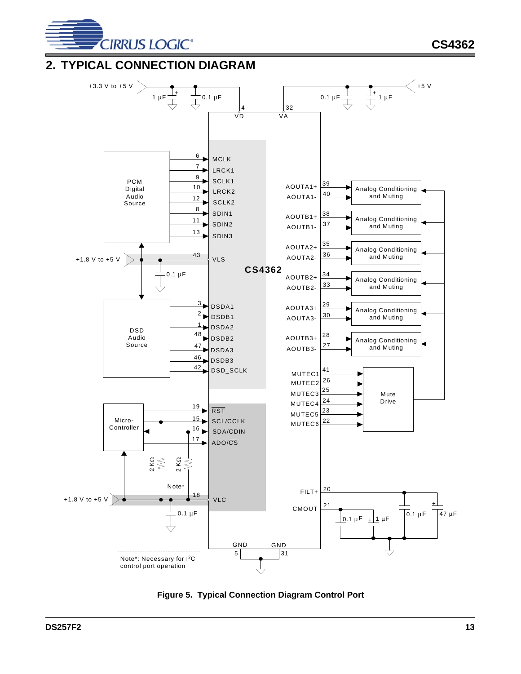

**CS4362**

# <span id="page-12-0"></span>**2. TYPICAL CONNECTION DIAGRAM**



<span id="page-12-1"></span>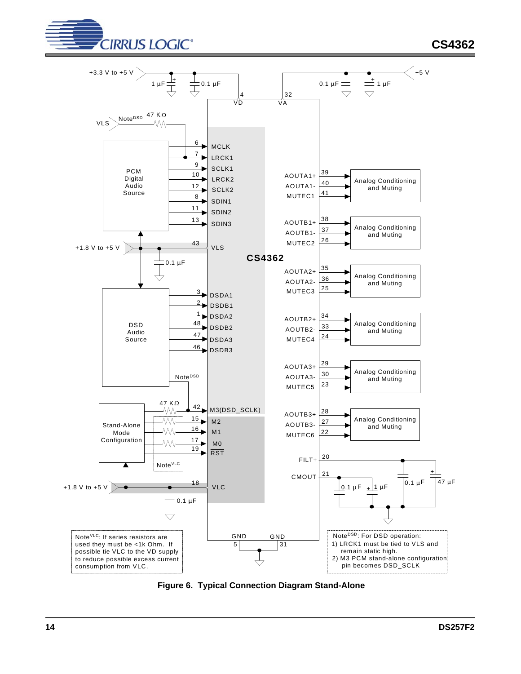



<span id="page-13-0"></span>**Figure 6. Typical Connection Diagram Stand-Alone**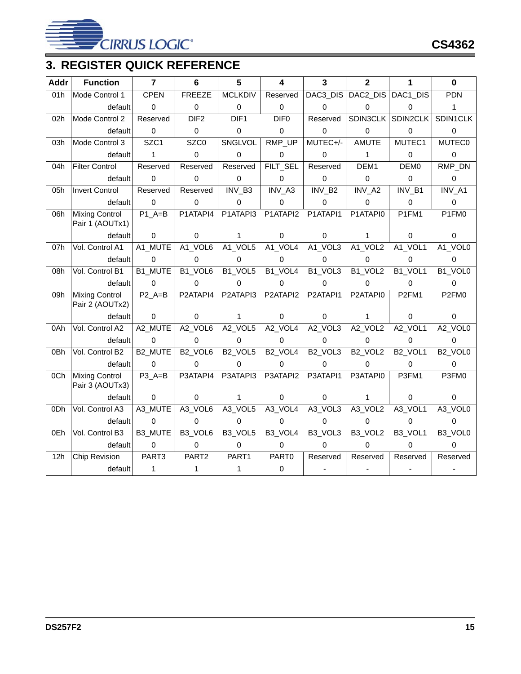

# <span id="page-14-0"></span>**3. REGISTER QUICK REFERENCE**

| <b>Addr</b> | <b>Function</b>                          | $\overline{7}$ | 6                               | 5                               | 4                   | 3                   | $\overline{2}$                  | 1                   | $\bf{0}$             |
|-------------|------------------------------------------|----------------|---------------------------------|---------------------------------|---------------------|---------------------|---------------------------------|---------------------|----------------------|
| 01h         | Mode Control 1                           | <b>CPEN</b>    | <b>FREEZE</b>                   | <b>MCLKDIV</b>                  | Reserved            | DAC3_DIS            | DAC2_DIS                        | DAC1_DIS            | <b>PDN</b>           |
|             | default                                  | 0              | $\pmb{0}$                       | $\mathbf 0$                     | 0                   | $\pmb{0}$           | 0                               | 0                   | $\mathbf{1}$         |
| 02h         | Mode Control 2                           | Reserved       | DIF <sub>2</sub>                | DIF <sub>1</sub>                | DIF <sub>0</sub>    | Reserved            | SDIN3CLK                        | SDIN2CLK            | SDIN1CLK             |
|             | default                                  | 0              | $\pmb{0}$                       | $\mathbf 0$                     | $\pmb{0}$           | $\pmb{0}$           | $\pmb{0}$                       | 0                   | $\pmb{0}$            |
| 03h         | Mode Control 3                           | SZC1           | SZC <sub>0</sub>                | SNGLVOL                         | RMP_UP              | MUTEC+/-            | <b>AMUTE</b>                    | MUTEC1              | <b>MUTEC0</b>        |
|             | default                                  | $\mathbf{1}$   | $\mathbf 0$                     | $\Omega$                        | 0                   | $\mathbf 0$         | $\mathbf{1}$                    | 0                   | $\mathbf 0$          |
| 04h         | <b>Filter Control</b>                    | Reserved       | Reserved                        | Reserved                        | FILT_SEL            | Reserved            | DEM1                            | DEM <sub>0</sub>    | RMP_DN               |
|             | default                                  | 0              | $\mathbf 0$                     | 0                               | 0                   | 0                   | 0                               | 0                   | 0                    |
| 05h         | <b>Invert Control</b>                    | Reserved       | Reserved                        | INV B <sub>3</sub>              | INV_A3              | INV_B2              | $\overline{INV}\_A2$            | INV B1              | $\overline{INV}\_A1$ |
|             | default                                  | $\Omega$       | $\mathbf 0$                     | $\Omega$                        | $\Omega$            | 0                   | $\Omega$                        | 0                   | $\mathbf 0$          |
| 06h         | <b>Mixing Control</b><br>Pair 1 (AOUTx1) | $P1$ A=B       | P1ATAPI4                        | P1ATAPI3                        | P1ATAPI2            | P1ATAPI1            | P1ATAPI0                        | P1FM1               | P1FM0                |
|             | default                                  | 0              | $\pmb{0}$                       | $\mathbf{1}$                    | 0                   | $\pmb{0}$           | $\mathbf{1}$                    | $\mathbf 0$         | 0                    |
| 07h         | Vol. Control A1                          | A1_MUTE        | A1_VOL6                         | A1_VOL5                         | A1_VOL4             | A1_VOL3             | A1_VOL2                         | A1_VOL1             | A1_VOL0              |
|             | default                                  | 0              | $\mathbf 0$                     | 0                               | 0                   | 0                   | 0                               | 0                   | $\mathbf 0$          |
| 08h         | Vol. Control B1                          | B1_MUTE        | B1_VOL6                         | B <sub>1_VOL5</sub>             | B1_VOL4             | B1_VOL3             | B1_VOL2                         | B1_VOL1             | B1_VOL0              |
|             | default                                  | 0              | 0                               | $\Omega$                        | 0                   | 0                   | $\Omega$                        | 0                   | $\mathbf 0$          |
| 09h         | <b>Mixing Control</b><br>Pair 2 (AOUTx2) | $P2A=B$        | P2ATAPI4                        | P2ATAPI3                        | P2ATAPI2            | P2ATAPI1            | P2ATAPI0                        | P <sub>2FM1</sub>   | P2FM0                |
|             | default                                  | $\Omega$       | $\mathbf 0$                     | 1                               | $\mathbf 0$         | $\mathbf 0$         | 1                               | 0                   | $\mathbf 0$          |
| 0Ah         | Vol. Control A2                          | A2_MUTE        | A2_VOL6                         | A2_VOL5                         | A2_VOL4             | A2_VOL3             | A2_VOL2                         | A2_VOL1             | A2_VOL0              |
|             | default                                  | 0              | $\mathbf 0$                     | $\Omega$                        | $\Omega$            | 0                   | 0                               | 0                   | $\mathbf 0$          |
| 0Bh         | Vol. Control B2                          | <b>B2 MUTE</b> | B <sub>2</sub> VOL <sub>6</sub> | B <sub>2</sub> VOL <sub>5</sub> | B <sub>2_VOL4</sub> | B <sub>2_VOL3</sub> | B <sub>2_VOL2</sub>             | B <sub>2</sub> VOL1 | B <sub>2_VOL0</sub>  |
|             | default                                  | $\mathbf 0$    | $\mathbf 0$                     | 0                               | $\mathbf 0$         | $\pmb{0}$           | $\mathbf 0$                     | $\mathbf 0$         | $\mathbf 0$          |
| 0Ch         | <b>Mixing Control</b><br>Pair 3 (AOUTx3) | $P3$ A=B       | P3ATAPI4                        | P3ATAPI3                        | P3ATAPI2            | P3ATAPI1            | P3ATAPI0                        | P3FM1               | P3FM0                |
|             | default                                  | 0              | 0                               | $\mathbf 1$                     | 0                   | $\pmb{0}$           | $\mathbf{1}$                    | 0                   | 0                    |
| 0Dh         | Vol. Control A3                          | A3_MUTE        | A3_VOL6                         | A3_VOL5                         | A3_VOL4             | A3_VOL3             | A3_VOL2                         | A3_VOL1             | A3_VOL0              |
|             | default                                  | $\overline{0}$ | $\mathbf 0$                     | $\Omega$                        | 0                   | 0                   | $\Omega$                        | 0                   | $\mathbf 0$          |
| 0Eh         | Vol. Control B3                          | B3_MUTE        | B3_VOL6                         | B <sub>3</sub> VOL <sub>5</sub> | B <sub>3_VOL4</sub> | B <sub>3_VOL3</sub> | B <sub>3</sub> VOL <sub>2</sub> | B <sub>3</sub> VOL1 | B3_VOL0              |
|             | default                                  | 0              | 0                               | 0                               | 0                   | 0                   | 0                               | 0                   | $\Omega$             |
| 12h         | Chip Revision                            | PART3          | PART2                           | PART1                           | PART0               | Reserved            | Reserved                        | Reserved            | Reserved             |
|             | default                                  | 1              | 1                               | 1                               | 0                   | $\blacksquare$      |                                 |                     |                      |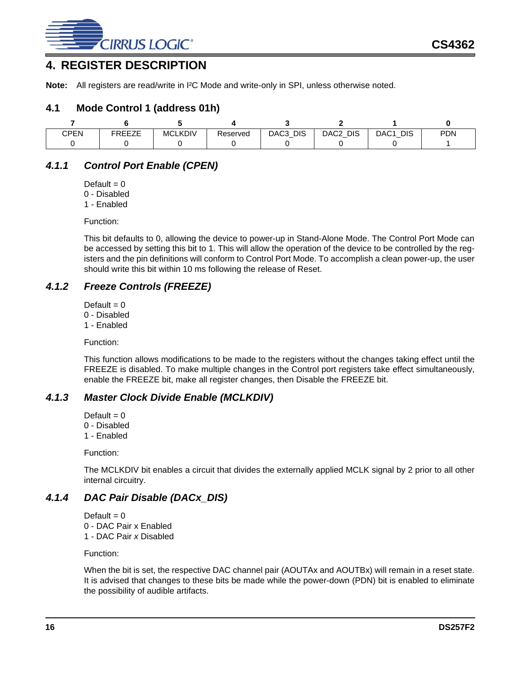

# <span id="page-15-0"></span>**4. REGISTER DESCRIPTION**

**Note:** All registers are read/write in I²C Mode and write-only in SPI, unless otherwise noted.

#### <span id="page-15-1"></span>**4.1 Mode Control 1 (address 01h)**

| CPEN | FREE7E<br>◝⊢⊢←⊢ | <b>MCLKDIV</b> | Reserved | <b>DIS</b><br>DAC3 | DIS<br>DAC2 | <b>DIS</b><br>DAC1 | <b>PDN</b> |
|------|-----------------|----------------|----------|--------------------|-------------|--------------------|------------|
|      |                 |                |          |                    |             |                    |            |

# <span id="page-15-2"></span>*4.1.1 Control Port Enable (CPEN)*

Default  $= 0$ 0 - Disabled

- 
- 1 Enabled

Function:

This bit defaults to 0, allowing the device to power-up in Stand-Alone Mode. The Control Port Mode can be accessed by setting this bit to 1. This will allow the operation of the device to be controlled by the registers and the pin definitions will conform to Control Port Mode. To accomplish a clean power-up, the user should write this bit within 10 ms following the release of Reset.

## <span id="page-15-3"></span>*4.1.2 Freeze Controls (FREEZE)*

Default  $= 0$ 

- 0 Disabled
- 1 Enabled

Function:

This function allows modifications to be made to the registers without the changes taking effect until the FREEZE is disabled. To make multiple changes in the Control port registers take effect simultaneously, enable the FREEZE bit, make all register changes, then Disable the FREEZE bit.

## <span id="page-15-4"></span>*4.1.3 Master Clock Divide Enable (MCLKDIV)*

Default  $= 0$ 0 - Disabled 1 - Enabled

Function:

The MCLKDIV bit enables a circuit that divides the externally applied MCLK signal by 2 prior to all other internal circuitry.

# <span id="page-15-5"></span>*4.1.4 DAC Pair Disable (DACx\_DIS)*

Default  $= 0$ 0 - DAC Pair x Enabled 1 - DAC Pair *x* Disabled

Function:

When the bit is set, the respective DAC channel pair (AOUTAx and AOUTBx) will remain in a reset state. It is advised that changes to these bits be made while the power-down (PDN) bit is enabled to eliminate the possibility of audible artifacts.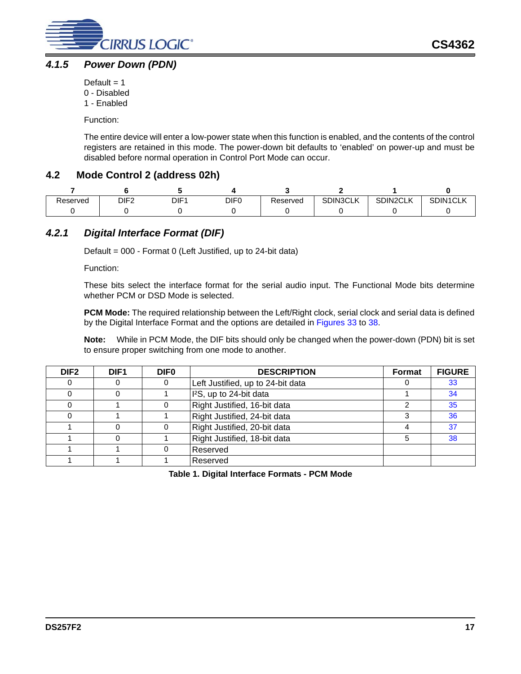

## <span id="page-16-0"></span>*4.1.5 Power Down (PDN)*

Default  $= 1$ 

- 0 Disabled
- 1 Enabled

Function:

The entire device will enter a low-power state when this function is enabled, and the contents of the control registers are retained in this mode. The power-down bit defaults to 'enabled' on power-up and must be disabled before normal operation in Control Port Mode can occur.

# <span id="page-16-1"></span>**4.2 Mode Control 2 (address 02h)**

| Reserved | DIF <sub>2</sub> | DIF1 | DIF <sub>0</sub> | Reserved | <b>SDIN3CLK</b> | SDIN2CLK | SDIN1CLK |
|----------|------------------|------|------------------|----------|-----------------|----------|----------|
|          |                  |      |                  |          |                 |          |          |

# <span id="page-16-2"></span>*4.2.1 Digital Interface Format (DIF)*

Default = 000 - Format 0 (Left Justified, up to 24-bit data)

Function:

These bits select the interface format for the serial audio input. The Functional Mode bits determine whether PCM or DSD Mode is selected.

**PCM Mode:** The required relationship between the Left/Right clock, serial clock and serial data is defined by the Digital Interface Format and the options are detailed in [Figures 33](#page-36-1) to [38](#page-37-1).

**Note:** While in PCM Mode, the DIF bits should only be changed when the power-down (PDN) bit is set to ensure proper switching from one mode to another.

| DIF <sub>2</sub> | DIF <sub>1</sub> | <b>DIFO</b> | <b>DESCRIPTION</b>                  | <b>Format</b> | <b>FIGURE</b> |
|------------------|------------------|-------------|-------------------------------------|---------------|---------------|
|                  | O                |             | Left Justified, up to 24-bit data   |               | 33            |
|                  |                  |             | I <sup>2</sup> S, up to 24-bit data |               | 34            |
|                  |                  |             | Right Justified, 16-bit data        |               | 35            |
|                  |                  |             | Right Justified, 24-bit data        |               | 36            |
|                  |                  |             | Right Justified, 20-bit data        |               | 37            |
|                  |                  |             | Right Justified, 18-bit data        |               | 38            |
|                  |                  |             | Reserved                            |               |               |
|                  |                  |             | Reserved                            |               |               |

**Table 1. Digital Interface Formats - PCM Mode**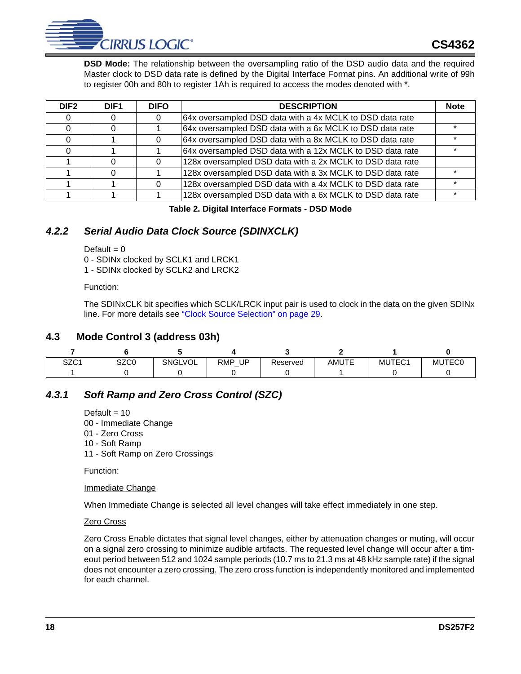

**DSD Mode:** The relationship between the oversampling ratio of the DSD audio data and the required Master clock to DSD data rate is defined by the Digital Interface Format pins. An additional write of 99h to register 00h and 80h to register 1Ah is required to access the modes denoted with \*.

| DIF <sub>2</sub> | DIF <sub>1</sub> | <b>DIFO</b> | <b>DESCRIPTION</b>                                        | <b>Note</b> |
|------------------|------------------|-------------|-----------------------------------------------------------|-------------|
|                  |                  |             | 64x oversampled DSD data with a 4x MCLK to DSD data rate  |             |
|                  |                  |             | 64x oversampled DSD data with a 6x MCLK to DSD data rate  |             |
|                  |                  |             | 64x oversampled DSD data with a 8x MCLK to DSD data rate  |             |
|                  |                  |             | 64x oversampled DSD data with a 12x MCLK to DSD data rate |             |
|                  |                  |             | 128x oversampled DSD data with a 2x MCLK to DSD data rate |             |
|                  |                  |             | 128x oversampled DSD data with a 3x MCLK to DSD data rate |             |
|                  |                  |             | 128x oversampled DSD data with a 4x MCLK to DSD data rate |             |
|                  |                  |             | 128x oversampled DSD data with a 6x MCLK to DSD data rate |             |

#### **Table 2. Digital Interface Formats - DSD Mode**

# <span id="page-17-3"></span><span id="page-17-0"></span>*4.2.2 Serial Audio Data Clock Source (SDINXCLK)*

Default  $= 0$ 

0 - SDINx clocked by SCLK1 and LRCK1

1 - SDINx clocked by SCLK2 and LRCK2

Function:

The SDINxCLK bit specifies which SCLK/LRCK input pair is used to clock in the data on the given SDINx line. For more details see ["Clock Source Selection" on page 29.](#page-28-0)

#### <span id="page-17-1"></span>**4.3 Mode Control 3 (address 03h)**

| SZC <sub>1</sub> | SZC0 | <b>SNGLVOL</b> | RMP<br>UP | Reserved | <b>AMUTE</b> | MUTEC1 | <b>MUTEC0</b> |
|------------------|------|----------------|-----------|----------|--------------|--------|---------------|
|                  |      |                |           |          |              |        |               |

## <span id="page-17-2"></span>*4.3.1 Soft Ramp and Zero Cross Control (SZC)*

Default  $= 10$ 

00 - Immediate Change

01 - Zero Cross

10 - Soft Ramp

11 - Soft Ramp on Zero Crossings

Function:

Immediate Change

When Immediate Change is selected all level changes will take effect immediately in one step.

#### Zero Cross

Zero Cross Enable dictates that signal level changes, either by attenuation changes or muting, will occur on a signal zero crossing to minimize audible artifacts. The requested level change will occur after a timeout period between 512 and 1024 sample periods (10.7 ms to 21.3 ms at 48 kHz sample rate) if the signal does not encounter a zero crossing. The zero cross function is independently monitored and implemented for each channel.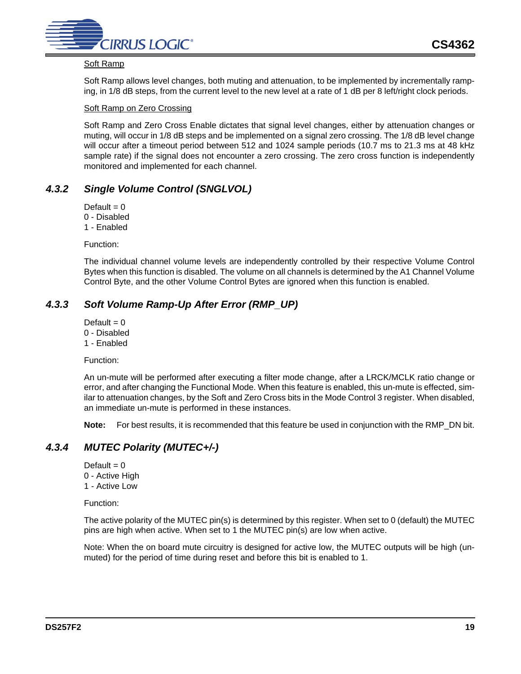

#### Soft Ramp

Soft Ramp allows level changes, both muting and attenuation, to be implemented by incrementally ramping, in 1/8 dB steps, from the current level to the new level at a rate of 1 dB per 8 left/right clock periods.

#### Soft Ramp on Zero Crossing

Soft Ramp and Zero Cross Enable dictates that signal level changes, either by attenuation changes or muting, will occur in 1/8 dB steps and be implemented on a signal zero crossing. The 1/8 dB level change will occur after a timeout period between 512 and 1024 sample periods (10.7 ms to 21.3 ms at 48 kHz sample rate) if the signal does not encounter a zero crossing. The zero cross function is independently monitored and implemented for each channel.

## <span id="page-18-0"></span>*4.3.2 Single Volume Control (SNGLVOL)*

Default  $= 0$ 

0 - Disabled

1 - Enabled

Function:

The individual channel volume levels are independently controlled by their respective Volume Control Bytes when this function is disabled. The volume on all channels is determined by the A1 Channel Volume Control Byte, and the other Volume Control Bytes are ignored when this function is enabled.

## <span id="page-18-1"></span>*4.3.3 Soft Volume Ramp-Up After Error (RMP\_UP)*

- Default  $= 0$
- 0 Disabled
- 1 Enabled

Function:

An un-mute will be performed after executing a filter mode change, after a LRCK/MCLK ratio change or error, and after changing the Functional Mode. When this feature is enabled, this un-mute is effected, similar to attenuation changes, by the Soft and Zero Cross bits in the Mode Control 3 register. When disabled, an immediate un-mute is performed in these instances.

**Note:** For best results, it is recommended that this feature be used in conjunction with the RMP\_DN bit.

# <span id="page-18-2"></span>*4.3.4 MUTEC Polarity (MUTEC+/-)*

Default  $= 0$ 0 - Active High 1 - Active Low

Function:

The active polarity of the MUTEC pin(s) is determined by this register. When set to 0 (default) the MUTEC pins are high when active. When set to 1 the MUTEC pin(s) are low when active.

Note: When the on board mute circuitry is designed for active low, the MUTEC outputs will be high (unmuted) for the period of time during reset and before this bit is enabled to 1.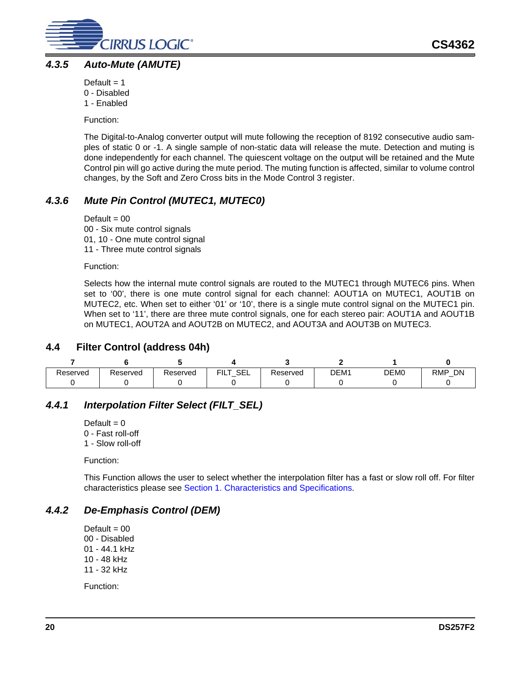

### <span id="page-19-0"></span>*4.3.5 Auto-Mute (AMUTE)*

- Default  $= 1$ 0 - Disabled
- 1 Enabled

Function:

The Digital-to-Analog converter output will mute following the reception of 8192 consecutive audio samples of static 0 or -1. A single sample of non-static data will release the mute. Detection and muting is done independently for each channel. The quiescent voltage on the output will be retained and the Mute Control pin will go active during the mute period. The muting function is affected, similar to volume control changes, by the Soft and Zero Cross bits in the Mode Control 3 register.

# <span id="page-19-1"></span>*4.3.6 Mute Pin Control (MUTEC1, MUTEC0)*

Default  $= 00$ 00 - Six mute control signals 01, 10 - One mute control signal 11 - Three mute control signals

Function:

Selects how the internal mute control signals are routed to the MUTEC1 through MUTEC6 pins. When set to '00', there is one mute control signal for each channel: AOUT1A on MUTEC1, AOUT1B on MUTEC2, etc. When set to either '01' or '10', there is a single mute control signal on the MUTEC1 pin. When set to '11', there are three mute control signals, one for each stereo pair: AOUT1A and AOUT1B on MUTEC1, AOUT2A and AOUT2B on MUTEC2, and AOUT3A and AOUT3B on MUTEC3.

## <span id="page-19-2"></span>**4.4 Filter Control (address 04h)**

| Reserved | Reserved | Reserved | SEL<br>FILT. | Reserved | DEM1 | DEM <sub>0</sub> | DN<br><b>RMP</b><br>— |
|----------|----------|----------|--------------|----------|------|------------------|-----------------------|
|          |          |          |              |          |      |                  |                       |

# <span id="page-19-3"></span>*4.4.1 Interpolation Filter Select (FILT\_SEL)*

Default  $= 0$ 0 - Fast roll-off 1 - Slow roll-off

Function:

This Function allows the user to select whether the interpolation filter has a fast or slow roll off. For filter characteristics please see [Section 1. Characteristics and Specifications.](#page-4-0)

## <span id="page-19-4"></span>*4.4.2 De-Emphasis Control (DEM)*

Default  $= 00$ 00 - Disabled 01 - 44.1 kHz 10 - 48 kHz 11 - 32 kHz

Function: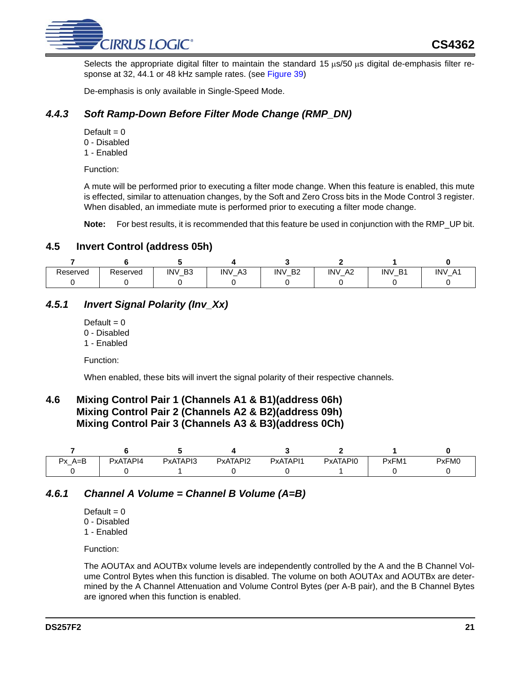

Selects the appropriate digital filter to maintain the standard 15 μs/50 μs digital de-emphasis filter response at 32, 44.1 or 48 kHz sample rates. (see [Figure 39\)](#page-37-2)

De-emphasis is only available in Single-Speed Mode.

## <span id="page-20-0"></span>*4.4.3 Soft Ramp-Down Before Filter Mode Change (RMP\_DN)*

- Default  $= 0$
- 0 Disabled
- 1 Enabled

Function:

A mute will be performed prior to executing a filter mode change. When this feature is enabled, this mute is effected, similar to attenuation changes, by the Soft and Zero Cross bits in the Mode Control 3 register. When disabled, an immediate mute is performed prior to executing a filter mode change.

**Note:** For best results, it is recommended that this feature be used in conjunction with the RMP\_UP bit.

### <span id="page-20-1"></span>**4.5 Invert Control (address 05h)**

| Reserved | Reserved | <b>INV</b><br>B <sub>3</sub><br>$-$ | <b>INV</b><br>A <sub>3</sub><br>$\sim$ | <b>INV</b><br>B <sub>2</sub><br>$-$ | <b>INV</b><br>A2<br>$\overline{\phantom{0}}$ | <b>INV</b><br>D <sub>1</sub> | <b>INV</b><br>$A^4$<br>$\overline{\phantom{0}}$ |
|----------|----------|-------------------------------------|----------------------------------------|-------------------------------------|----------------------------------------------|------------------------------|-------------------------------------------------|
|          |          |                                     |                                        |                                     |                                              |                              |                                                 |

# <span id="page-20-2"></span>*4.5.1 Invert Signal Polarity (Inv\_Xx)*

- Default  $= 0$
- 0 Disabled
- 1 Enabled

Function:

When enabled, these bits will invert the signal polarity of their respective channels.

## <span id="page-20-3"></span>**4.6 Mixing Control Pair 1 (Channels A1 & B1)(address 06h) Mixing Control Pair 2 (Channels A2 & B2)(address 09h) Mixing Control Pair 3 (Channels A3 & B3)(address 0Ch)**

| $A = B$<br>Dv. | PxATAPI4 | PxATAPI3 | PxATAPI2 | PxATAPI1 | PxATAPI0 | PxFM1 | PxFM0 |
|----------------|----------|----------|----------|----------|----------|-------|-------|
|                |          |          |          |          |          |       |       |

## <span id="page-20-4"></span>*4.6.1 Channel A Volume = Channel B Volume (A=B)*

Default  $= 0$ 

- 0 Disabled
- 1 Enabled

Function:

The AOUTAx and AOUTBx volume levels are independently controlled by the A and the B Channel Volume Control Bytes when this function is disabled. The volume on both AOUTAx and AOUTBx are determined by the A Channel Attenuation and Volume Control Bytes (per A-B pair), and the B Channel Bytes are ignored when this function is enabled.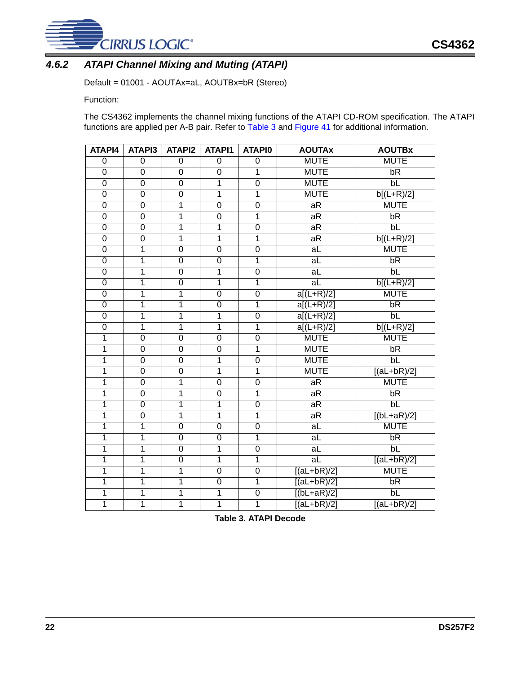

# <span id="page-21-0"></span>*4.6.2 ATAPI Channel Mixing and Muting (ATAPI)*

Default = 01001 - AOUTAx=aL, AOUTBx=bR (Stereo)

Function:

The CS4362 implements the channel mixing functions of the ATAPI CD-ROM specification. The ATAPI functions are applied per A-B pair. Refer to [Table 3](#page-21-1) and [Figure 41](#page-38-1) for additional information.

| ATAPI4                  | ATAPI3                  | <b>ATAPI2</b>           | ATAPI1         | <b>ATAPIO</b>           | <b>AOUTAx</b>            | <b>AOUTBx</b>        |
|-------------------------|-------------------------|-------------------------|----------------|-------------------------|--------------------------|----------------------|
| $\overline{0}$          | $\overline{0}$          | $\overline{0}$          | $\overline{0}$ | $\overline{0}$          | <b>MUTE</b>              | <b>MUTE</b>          |
| $\overline{0}$          | $\overline{0}$          | $\overline{0}$          | $\overline{0}$ | $\overline{1}$          | <b>MUTE</b>              | bR                   |
| $\overline{0}$          | $\overline{0}$          | $\overline{0}$          | $\overline{1}$ | $\overline{0}$          | <b>MUTE</b>              | bL                   |
| $\overline{0}$          | $\overline{0}$          | $\overline{0}$          | $\overline{1}$ | $\overline{1}$          | <b>MUTE</b>              | $b[(L+R)/2]$         |
| $\overline{0}$          | $\overline{0}$          | 1                       | $\overline{0}$ | $\overline{0}$          | aR                       | <b>MUTE</b>          |
| $\overline{0}$          | $\overline{0}$          | $\overline{1}$          | $\overline{0}$ | $\overline{\mathbf{1}}$ | aR                       | bR                   |
| $\overline{0}$          | $\overline{0}$          | $\overline{\mathbf{1}}$ | $\overline{1}$ | $\overline{0}$          | aR                       | bL                   |
| $\overline{0}$          | $\overline{0}$          | $\overline{1}$          | $\overline{1}$ | $\overline{1}$          | aR                       | $b[(L+R)/2]$         |
| $\overline{0}$          | $\overline{1}$          | $\overline{0}$          | $\overline{0}$ | $\overline{0}$          | aL                       | <b>MUTE</b>          |
| $\overline{0}$          | $\overline{\mathbf{1}}$ | $\overline{0}$          | $\overline{0}$ | $\overline{1}$          | $\overline{a}$           | bR                   |
| $\overline{0}$          | $\overline{\mathbf{1}}$ | $\overline{0}$          | $\overline{1}$ | $\overline{0}$          | $\overline{a}$           | bL                   |
| $\overline{0}$          | $\overline{1}$          | $\overline{0}$          | $\overline{1}$ | $\overline{1}$          | $\overline{\mathsf{aL}}$ | $b[(L+R)/2]$         |
| $\overline{0}$          | 1                       | 1                       | $\overline{0}$ | $\overline{0}$          | $a[(L+R)/2]$             | <b>MUTE</b>          |
| $\overline{0}$          | $\overline{\mathbf{1}}$ | 1                       | $\overline{0}$ | $\overline{1}$          | $a[(L+R)/2]$             | bR                   |
| $\overline{0}$          | $\overline{1}$          | 1                       | $\overline{1}$ | $\overline{0}$          | $a[(L+R)/2]$             | bL                   |
| $\overline{0}$          | $\overline{1}$          | $\overline{\mathbf{1}}$ | $\overline{1}$ | $\overline{1}$          | $a[(L+R)/2]$             | $b[(L+R)/2]$         |
| 1                       | $\overline{0}$          | $\overline{0}$          | $\overline{0}$ | $\overline{0}$          | <b>MUTE</b>              | <b>MUTE</b>          |
| $\overline{1}$          | $\overline{0}$          | $\overline{0}$          | $\overline{0}$ | $\overline{1}$          | <b>MUTE</b>              | bR                   |
| 1                       | $\overline{0}$          | $\overline{0}$          | $\overline{1}$ | $\overline{0}$          | <b>MUTE</b>              | $b\overline{L}$      |
| $\overline{\mathbf{1}}$ | $\overline{0}$          | $\overline{0}$          | $\overline{1}$ | $\overline{1}$          | <b>MUTE</b>              | $[(aL+bR)/2]$        |
| 1                       | $\overline{0}$          | $\overline{\mathbf{1}}$ | $\overline{0}$ | $\overline{0}$          | aR                       | <b>MUTE</b>          |
| 1                       | $\overline{0}$          | 1                       | $\overline{0}$ | $\overline{1}$          | aR                       | bR                   |
| 1                       | $\overline{0}$          | $\overline{\mathbf{1}}$ | $\overline{1}$ | $\overline{0}$          | aR                       | bL                   |
| $\overline{\mathbf{1}}$ | $\overline{0}$          | $\overline{\mathbf{1}}$ | $\overline{1}$ | $\overline{1}$          | aR                       | $[(bL+aR)/2]$        |
| 1                       | $\overline{1}$          | $\overline{0}$          | $\overline{0}$ | $\overline{0}$          | aL                       | <b>MUTE</b>          |
| $\overline{\mathbf{1}}$ | $\overline{\mathbf{1}}$ | $\overline{0}$          | $\overline{0}$ | $\overline{1}$          | $\overline{a}$           | bR                   |
| 1                       | $\overline{1}$          | $\overline{0}$          | $\overline{1}$ | $\overline{0}$          | aL                       | bL                   |
| $\overline{\mathbf{1}}$ | $\overline{\mathbf{1}}$ | $\overline{0}$          | $\overline{1}$ | $\overline{1}$          | a <sub>L</sub>           | $\sqrt{[(al+bR)/2]}$ |
| 1                       | $\overline{1}$          | $\overline{\mathbf{1}}$ | $\overline{0}$ | $\overline{0}$          | $[(aL+bR)/2]$            | <b>MUTE</b>          |
| 1                       | $\overline{\mathbf{1}}$ | 1                       | $\overline{0}$ | $\overline{1}$          | $[(aL+bR)/2]$            | bR                   |
| 1                       | $\overline{1}$          | $\overline{1}$          | $\overline{1}$ | $\overline{0}$          | $[(bL+aR)/2]$            | $b\overline{L}$      |
| 1                       | $\overline{1}$          | $\overline{\mathbf{1}}$ | $\overline{1}$ | $\overline{1}$          | $[(aL+bR)/2]$            | $[(al+bR)/2]$        |

<span id="page-21-1"></span>

| Table 3. ATAPI Decode |  |
|-----------------------|--|
|                       |  |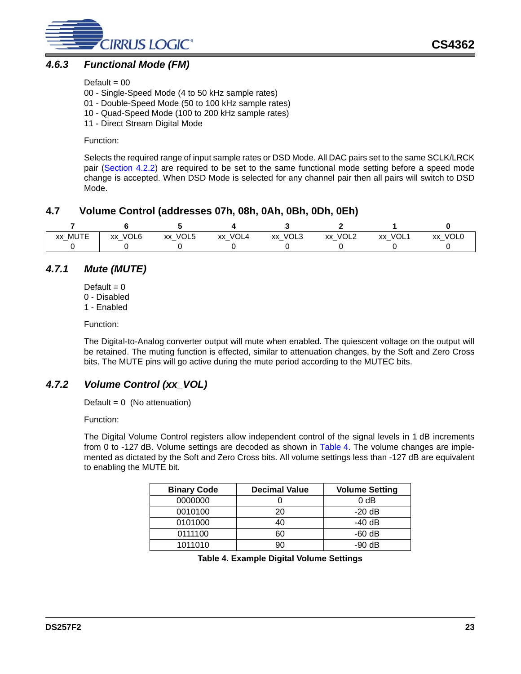

### <span id="page-22-0"></span>*4.6.3 Functional Mode (FM)*

Default  $= 00$ 

00 - Single-Speed Mode (4 to 50 kHz sample rates)

01 - Double-Speed Mode (50 to 100 kHz sample rates)

- 10 Quad-Speed Mode (100 to 200 kHz sample rates)
- 11 Direct Stream Digital Mode

Function:

Selects the required range of input sample rates or DSD Mode. All DAC pairs set to the same SCLK/LRCK pair ([Section 4.2.2](#page-17-0)) are required to be set to the same functional mode setting before a speed mode change is accepted. When DSD Mode is selected for any channel pair then all pairs will switch to DSD Mode.

### <span id="page-22-1"></span>**4.7 Volume Control (addresses 07h, 08h, 0Ah, 0Bh, 0Dh, 0Eh)**

| xx_MUTE | xx_VOL6 | xx_VOL5 | xx VOL4 | xx_VOL3 | xx_VOL2 | xx VOL1 | xx_VOL0 |
|---------|---------|---------|---------|---------|---------|---------|---------|
|         |         |         |         |         |         |         |         |

# <span id="page-22-2"></span>*4.7.1 Mute (MUTE)*

- Default  $= 0$ 0 - Disabled
- 1 Enabled

Function:

The Digital-to-Analog converter output will mute when enabled. The quiescent voltage on the output will be retained. The muting function is effected, similar to attenuation changes, by the Soft and Zero Cross bits. The MUTE pins will go active during the mute period according to the MUTEC bits.

# <span id="page-22-3"></span>*4.7.2 Volume Control (xx\_VOL)*

Default =  $0$  (No attenuation)

Function:

The Digital Volume Control registers allow independent control of the signal levels in 1 dB increments from 0 to -127 dB. Volume settings are decoded as shown in [Table 4](#page-22-4). The volume changes are implemented as dictated by the Soft and Zero Cross bits. All volume settings less than -127 dB are equivalent to enabling the MUTE bit.

<span id="page-22-4"></span>

| <b>Binary Code</b> | <b>Decimal Value</b> | <b>Volume Setting</b> |
|--------------------|----------------------|-----------------------|
| 0000000            |                      | 0 <sub>d</sub> B      |
| 0010100            |                      | $-20$ dB              |
| 0101000            |                      | -40 dB                |
| 0111100            |                      | $-60$ dB              |
| 1011010            |                      | $-90$ dB              |

**Table 4. Example Digital Volume Settings**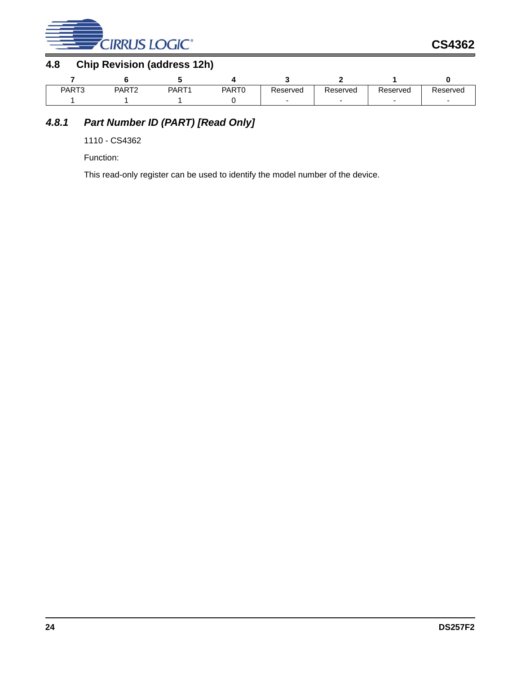

# <span id="page-23-0"></span>**4.8 Chip Revision (address 12h)**

| PART3 | PART <sub>2</sub> | PART <sub>1</sub> | PART0 | Reserved | Reserved | Reserved | Reserved |
|-------|-------------------|-------------------|-------|----------|----------|----------|----------|
|       |                   |                   |       |          |          |          |          |

# <span id="page-23-1"></span>*4.8.1 Part Number ID (PART) [Read Only]*

1110 - CS4362

Function:

This read-only register can be used to identify the model number of the device.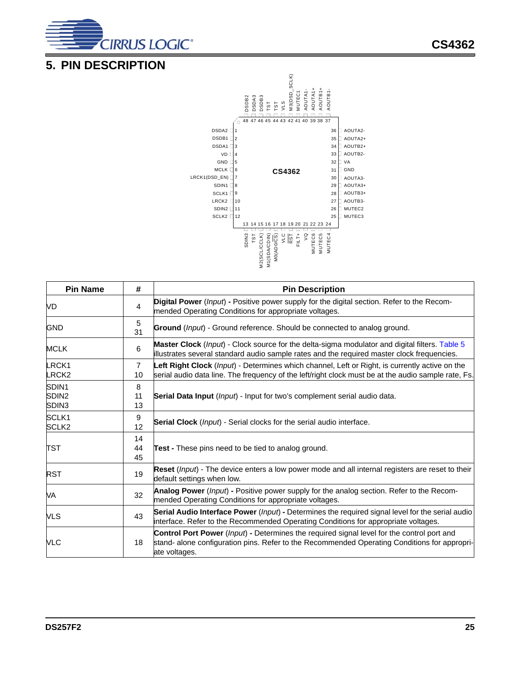

# <span id="page-24-0"></span>**5. PIN DESCRIPTION**



|                                     |                      | ( <u>SO</u> /OQY)OM<br>INSCRESS/ZM<br>ISLE<br>LSL<br>LSLES/OQYOQYOM<br>$\frac{1}{2}$ $\frac{1}{2}$ $\frac{1}{2}$ $\frac{1}{2}$ $\frac{1}{2}$ $\frac{1}{2}$<br>MUTEC <sub>6</sub><br><b>MUTEC5</b><br>MUTEC4        |
|-------------------------------------|----------------------|--------------------------------------------------------------------------------------------------------------------------------------------------------------------------------------------------------------------|
| <b>Pin Name</b>                     | #                    | <b>Pin Description</b>                                                                                                                                                                                             |
| VD                                  | 4                    | Digital Power (Input) - Positive power supply for the digital section. Refer to the Recom-<br>mended Operating Conditions for appropriate voltages.                                                                |
| <b>GND</b>                          | 5<br>31              | Ground (Input) - Ground reference. Should be connected to analog ground.                                                                                                                                           |
| <b>MCLK</b>                         | 6                    | Master Clock (Input) - Clock source for the delta-sigma modulator and digital filters. Table 5<br>illustrates several standard audio sample rates and the required master clock frequencies.                       |
| LRCK1<br>LRCK <sub>2</sub>          | $\overline{7}$<br>10 | Left Right Clock (Input) - Determines which channel, Left or Right, is currently active on the<br>serial audio data line. The frequency of the left/right clock must be at the audio sample rate, Fs.              |
| SDIN1<br>SDIN <sub>2</sub><br>SDIN3 | 8<br>11<br>13        | Serial Data Input (Input) - Input for two's complement serial audio data.                                                                                                                                          |
| SCLK1<br>SCLK <sub>2</sub>          | 9<br>12              | <b>Serial Clock</b> (Input) - Serial clocks for the serial audio interface.                                                                                                                                        |
| TST                                 | 14<br>44<br>45       | <b>Test -</b> These pins need to be tied to analog ground.                                                                                                                                                         |
| <b>RST</b>                          | 19                   | Reset ( <i>Input</i> ) - The device enters a low power mode and all internal registers are reset to their<br>default settings when low.                                                                            |
| VA                                  | 32                   | Analog Power (Input) - Positive power supply for the analog section. Refer to the Recom-<br>mended Operating Conditions for appropriate voltages.                                                                  |
| <b>VLS</b>                          | 43                   | Serial Audio Interface Power (Input) - Determines the required signal level for the serial audio<br>interface. Refer to the Recommended Operating Conditions for appropriate voltages.                             |
| <b>VLC</b>                          | 18                   | <b>Control Port Power</b> (Input) - Determines the required signal level for the control port and<br>stand- alone configuration pins. Refer to the Recommended Operating Conditions for appropri-<br>ate voltages. |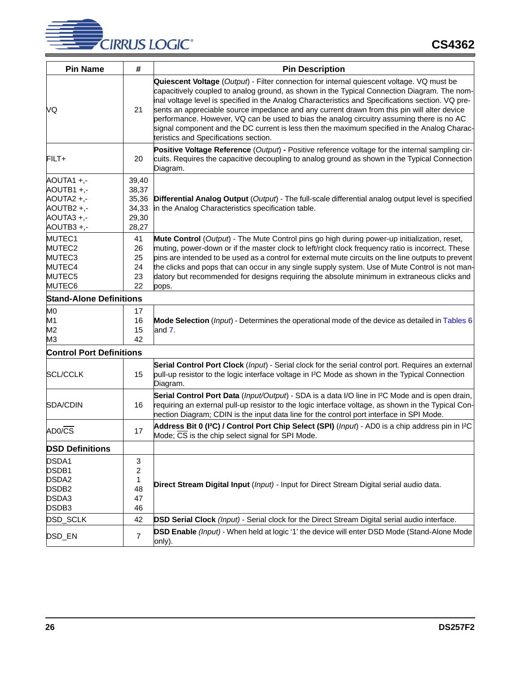

| <b>Pin Name</b>                                                             | #                                                  | <b>Pin Description</b>                                                                                                                                                                                                                                                                                                                                                                                                                                                                                                                                                                                                             |
|-----------------------------------------------------------------------------|----------------------------------------------------|------------------------------------------------------------------------------------------------------------------------------------------------------------------------------------------------------------------------------------------------------------------------------------------------------------------------------------------------------------------------------------------------------------------------------------------------------------------------------------------------------------------------------------------------------------------------------------------------------------------------------------|
| VQ                                                                          | 21                                                 | Quiescent Voltage (Output) - Filter connection for internal quiescent voltage. VQ must be<br>capacitively coupled to analog ground, as shown in the Typical Connection Diagram. The nom-<br>inal voltage level is specified in the Analog Characteristics and Specifications section. VQ pre-<br>sents an appreciable source impedance and any current drawn from this pin will alter device<br>performance. However, VQ can be used to bias the analog circuitry assuming there is no AC<br>signal component and the DC current is less then the maximum specified in the Analog Charac-<br>teristics and Specifications section. |
| FILT+                                                                       | 20                                                 | Positive Voltage Reference (Output) - Positive reference voltage for the internal sampling cir-<br>cuits. Requires the capacitive decoupling to analog ground as shown in the Typical Connection<br>Diagram.                                                                                                                                                                                                                                                                                                                                                                                                                       |
| AOUTA1 +,-<br>AOUTB1+,-<br>AOUTA2+,-<br>AOUTB2+,-<br>AOUTA3+,-<br>AOUTB3+,- | 39,40<br>38,37<br>35,36<br>34,33<br>29,30<br>28,27 | Differential Analog Output (Output) - The full-scale differential analog output level is specified<br>in the Analog Characteristics specification table.                                                                                                                                                                                                                                                                                                                                                                                                                                                                           |
| MUTEC1<br>MUTEC2<br>MUTEC3<br>MUTEC4<br>MUTEC5<br>MUTEC6                    | 41<br>26<br>25<br>24<br>23<br>22                   | Mute Control (Output) - The Mute Control pins go high during power-up initialization, reset,<br>muting, power-down or if the master clock to left/right clock frequency ratio is incorrect. These<br>pins are intended to be used as a control for external mute circuits on the line outputs to prevent<br>the clicks and pops that can occur in any single supply system. Use of Mute Control is not man-<br>datory but recommended for designs requiring the absolute minimum in extraneous clicks and<br>pops.                                                                                                                 |
| <b>Stand-Alone Definitions</b>                                              |                                                    |                                                                                                                                                                                                                                                                                                                                                                                                                                                                                                                                                                                                                                    |
| M0<br>M1<br>M <sub>2</sub><br>M3                                            | 17<br>16<br>15<br>42                               | Mode Selection (Input) - Determines the operational mode of the device as detailed in Tables 6<br>and $7.$                                                                                                                                                                                                                                                                                                                                                                                                                                                                                                                         |
| <b>Control Port Definitions</b>                                             |                                                    |                                                                                                                                                                                                                                                                                                                                                                                                                                                                                                                                                                                                                                    |
| <b>SCL/CCLK</b>                                                             | 15                                                 | Serial Control Port Clock (Input) - Serial clock for the serial control port. Requires an external<br>pull-up resistor to the logic interface voltage in I <sup>2</sup> C Mode as shown in the Typical Connection<br>Diagram.                                                                                                                                                                                                                                                                                                                                                                                                      |
| SDA/CDIN                                                                    | 16                                                 | Serial Control Port Data (Input/Output) - SDA is a data I/O line in I <sup>2</sup> C Mode and is open drain,<br>requiring an external pull-up resistor to the logic interface voltage, as shown in the Typical Con-<br>nection Diagram; CDIN is the input data line for the control port interface in SPI Mode.                                                                                                                                                                                                                                                                                                                    |
| AD0/CS                                                                      | 17                                                 | Address Bit 0 (I <sup>2</sup> C) / Control Port Chip Select (SPI) (Input) - AD0 is a chip address pin in I <sup>2</sup> C<br>Mode; CS is the chip select signal for SPI Mode.                                                                                                                                                                                                                                                                                                                                                                                                                                                      |
| <b>DSD Definitions</b>                                                      |                                                    |                                                                                                                                                                                                                                                                                                                                                                                                                                                                                                                                                                                                                                    |
| DSDA1<br>DSDB1<br>DSDA2<br>DSDB <sub>2</sub><br>DSDA3<br>DSDB3              | 3<br>$\overline{c}$<br>1<br>48<br>47<br>46         | Direct Stream Digital Input (Input) - Input for Direct Stream Digital serial audio data.                                                                                                                                                                                                                                                                                                                                                                                                                                                                                                                                           |
| DSD_SCLK                                                                    | 42                                                 | DSD Serial Clock (Input) - Serial clock for the Direct Stream Digital serial audio interface.                                                                                                                                                                                                                                                                                                                                                                                                                                                                                                                                      |
| DSD_EN                                                                      | $\overline{7}$                                     | <b>DSD Enable</b> (Input) - When held at logic '1' the device will enter DSD Mode (Stand-Alone Mode<br>only).                                                                                                                                                                                                                                                                                                                                                                                                                                                                                                                      |

İ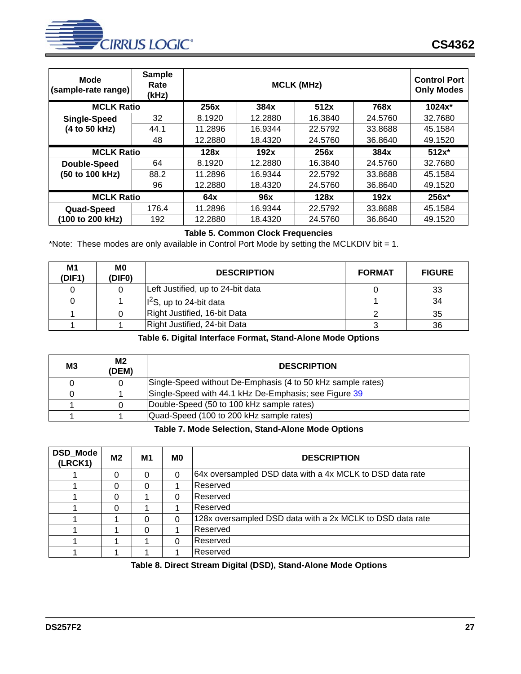

| Mode<br>(sample-rate range) | <b>Sample</b><br>Rate<br>(kHz) |         | <b>Control Port</b><br><b>Only Modes</b> |         |         |          |
|-----------------------------|--------------------------------|---------|------------------------------------------|---------|---------|----------|
| <b>MCLK Ratio</b>           |                                | 256x    | 384x                                     | 512x    | 768x    | $1024x*$ |
| Single-Speed                | 32                             | 8.1920  | 12.2880                                  | 16.3840 | 24.5760 | 32.7680  |
| (4 to 50 kHz)               | 44.1                           | 11.2896 | 16.9344                                  | 22.5792 | 33.8688 | 45.1584  |
|                             | 48                             | 12.2880 | 18.4320                                  | 24.5760 | 36.8640 | 49.1520  |
| <b>MCLK Ratio</b>           |                                | 128x    | 192x                                     | 256x    | 384x    | $512x*$  |
| Double-Speed                | 64                             | 8.1920  | 12.2880                                  | 16.3840 | 24.5760 | 32.7680  |
| (50 to 100 kHz)             | 88.2                           | 11.2896 | 16.9344                                  | 22.5792 | 33.8688 | 45.1584  |
|                             | 96                             | 12.2880 | 18.4320                                  | 24.5760 | 36.8640 | 49.1520  |
| <b>MCLK Ratio</b>           |                                | 64x     | 96x                                      | 128x    | 192x    | $256x*$  |
| Quad-Speed                  | 176.4                          | 11.2896 | 16.9344                                  | 22.5792 | 33.8688 | 45.1584  |
| (100 to 200 kHz)            | 192                            | 12.2880 | 18.4320                                  | 24.5760 | 36.8640 | 49.1520  |

#### **Table 5. Common Clock Frequencies**

<span id="page-26-0"></span>\*Note: These modes are only available in Control Port Mode by setting the MCLKDIV bit = 1.

| M1<br>(DIF1) | M0<br>(DIF0) | <b>DESCRIPTION</b>                | <b>FORMAT</b> | <b>FIGURE</b> |
|--------------|--------------|-----------------------------------|---------------|---------------|
|              |              | Left Justified, up to 24-bit data |               | 33            |
|              |              | $ I^2S$ , up to 24-bit data       |               | 34            |
|              |              | Right Justified, 16-bit Data      |               | 35            |
|              |              | Right Justified, 24-bit Data      |               | 36            |

#### **Table 6. Digital Interface Format, Stand-Alone Mode Options**

<span id="page-26-1"></span>

| <b>M3</b> | M2<br>(DEM) | <b>DESCRIPTION</b>                                          |
|-----------|-------------|-------------------------------------------------------------|
|           |             | Single-Speed without De-Emphasis (4 to 50 kHz sample rates) |
|           |             | Single-Speed with 44.1 kHz De-Emphasis; see Figure 39       |
|           |             | Double-Speed (50 to 100 kHz sample rates)                   |
|           |             | Quad-Speed (100 to 200 kHz sample rates)                    |

#### **Table 7. Mode Selection, Stand-Alone Mode Options**

<span id="page-26-2"></span>

| <b>DSD Mode</b><br>(LRCK1) | M2       | M1 | M <sub>0</sub> | <b>DESCRIPTION</b>                                        |
|----------------------------|----------|----|----------------|-----------------------------------------------------------|
|                            | $\Omega$ | 0  | $\Omega$       | 64x oversampled DSD data with a 4x MCLK to DSD data rate  |
|                            | 0        | 0  |                | Reserved                                                  |
|                            | 0        |    | 0              | Reserved                                                  |
|                            | 0        |    |                | Reserved                                                  |
|                            |          | 0  | $\Omega$       | 128x oversampled DSD data with a 2x MCLK to DSD data rate |
|                            |          |    |                | Reserved                                                  |
|                            |          |    | $\Omega$       | Reserved                                                  |
|                            |          |    |                | Reserved                                                  |

#### **Table 8. Direct Stream Digital (DSD), Stand-Alone Mode Options**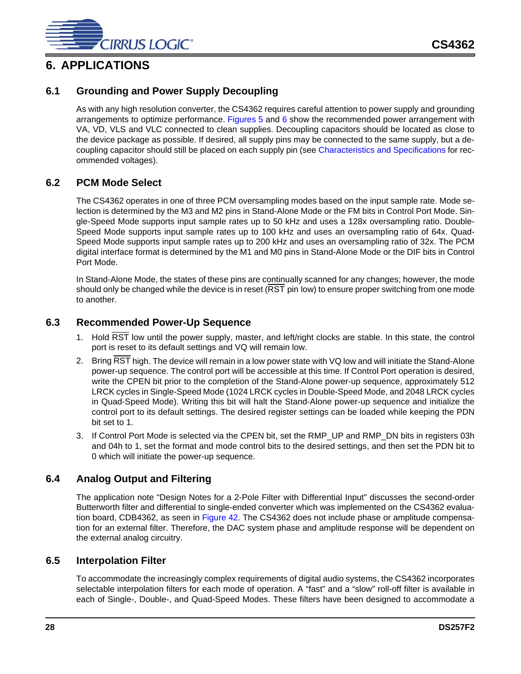

# <span id="page-27-0"></span>**6. APPLICATIONS**

## <span id="page-27-1"></span>**6.1 Grounding and Power Supply Decoupling**

As with any high resolution converter, the CS4362 requires careful attention to power supply and grounding arrangements to optimize performance. [Figures 5](#page-12-1) and [6](#page-13-0) show the recommended power arrangement with VA, VD, VLS and VLC connected to clean supplies. Decoupling capacitors should be located as close to the device package as possible. If desired, all supply pins may be connected to the same supply, but a decoupling capacitor should still be placed on each supply pin (see [Characteristics and Specifications](#page-4-0) for recommended voltages).

### <span id="page-27-2"></span>**6.2 PCM Mode Select**

The CS4362 operates in one of three PCM oversampling modes based on the input sample rate. Mode selection is determined by the M3 and M2 pins in Stand-Alone Mode or the FM bits in Control Port Mode. Single-Speed Mode supports input sample rates up to 50 kHz and uses a 128x oversampling ratio. Double-Speed Mode supports input sample rates up to 100 kHz and uses an oversampling ratio of 64x. Quad-Speed Mode supports input sample rates up to 200 kHz and uses an oversampling ratio of 32x. The PCM digital interface format is determined by the M1 and M0 pins in Stand-Alone Mode or the DIF bits in Control Port Mode.

In Stand-Alone Mode, the states of these pins are continually scanned for any changes; however, the mode should only be changed while the device is in reset (RST pin low) to ensure proper switching from one mode to another.

#### <span id="page-27-3"></span>**6.3 Recommended Power-Up Sequence**

- 1. Hold RST low until the power supply, master, and left/right clocks are stable. In this state, the control port is reset to its default settings and VQ will remain low.
- 2. Bring RST high. The device will remain in a low power state with VQ low and will initiate the Stand-Alone power-up sequence. The control port will be accessible at this time. If Control Port operation is desired, write the CPEN bit prior to the completion of the Stand-Alone power-up sequence, approximately 512 LRCK cycles in Single-Speed Mode (1024 LRCK cycles in Double-Speed Mode, and 2048 LRCK cycles in Quad-Speed Mode). Writing this bit will halt the Stand-Alone power-up sequence and initialize the control port to its default settings. The desired register settings can be loaded while keeping the PDN bit set to 1.
- 3. If Control Port Mode is selected via the CPEN bit, set the RMP\_UP and RMP\_DN bits in registers 03h and 04h to 1, set the format and mode control bits to the desired settings, and then set the PDN bit to 0 which will initiate the power-up sequence.

#### <span id="page-27-4"></span>**6.4 Analog Output and Filtering**

The application note "Design Notes for a 2-Pole Filter with Differential Input" discusses the second-order Butterworth filter and differential to single-ended converter which was implemented on the CS4362 evaluation board, CDB4362, as seen in [Figure 42.](#page-38-2) The CS4362 does not include phase or amplitude compensation for an external filter. Therefore, the DAC system phase and amplitude response will be dependent on the external analog circuitry.

#### <span id="page-27-5"></span>**6.5 Interpolation Filter**

To accommodate the increasingly complex requirements of digital audio systems, the CS4362 incorporates selectable interpolation filters for each mode of operation. A "fast" and a "slow" roll-off filter is available in each of Single-, Double-, and Quad-Speed Modes. These filters have been designed to accommodate a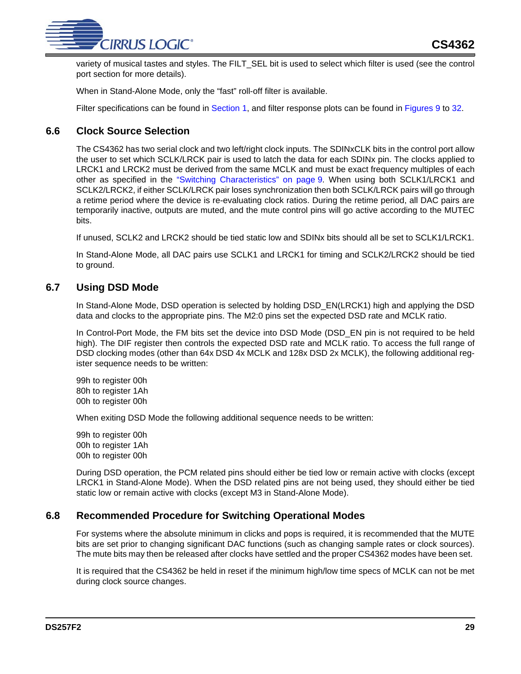

variety of musical tastes and styles. The FILT\_SEL bit is used to select which filter is used (see the control port section for more details).

When in Stand-Alone Mode, only the "fast" roll-off filter is available.

Filter specifications can be found in [Section 1](#page-4-0), and filter response plots can be found in [Figures 9](#page-32-0) to [32.](#page-35-5)

# <span id="page-28-0"></span>**6.6 Clock Source Selection**

The CS4362 has two serial clock and two left/right clock inputs. The SDINxCLK bits in the control port allow the user to set which SCLK/LRCK pair is used to latch the data for each SDINx pin. The clocks applied to LRCK1 and LRCK2 must be derived from the same MCLK and must be exact frequency multiples of each other as specified in the ["Switching Characteristics" on page 9.](#page-8-0) When using both SCLK1/LRCK1 and SCLK2/LRCK2, if either SCLK/LRCK pair loses synchronization then both SCLK/LRCK pairs will go through a retime period where the device is re-evaluating clock ratios. During the retime period, all DAC pairs are temporarily inactive, outputs are muted, and the mute control pins will go active according to the MUTEC bits.

If unused, SCLK2 and LRCK2 should be tied static low and SDINx bits should all be set to SCLK1/LRCK1.

In Stand-Alone Mode, all DAC pairs use SCLK1 and LRCK1 for timing and SCLK2/LRCK2 should be tied to ground.

## <span id="page-28-1"></span>**6.7 Using DSD Mode**

In Stand-Alone Mode, DSD operation is selected by holding DSD\_EN(LRCK1) high and applying the DSD data and clocks to the appropriate pins. The M2:0 pins set the expected DSD rate and MCLK ratio.

In Control-Port Mode, the FM bits set the device into DSD Mode (DSD\_EN pin is not required to be held high). The DIF register then controls the expected DSD rate and MCLK ratio. To access the full range of DSD clocking modes (other than 64x DSD 4x MCLK and 128x DSD 2x MCLK), the following additional register sequence needs to be written:

99h to register 00h 80h to register 1Ah 00h to register 00h

When exiting DSD Mode the following additional sequence needs to be written:

99h to register 00h 00h to register 1Ah 00h to register 00h

During DSD operation, the PCM related pins should either be tied low or remain active with clocks (except LRCK1 in Stand-Alone Mode). When the DSD related pins are not being used, they should either be tied static low or remain active with clocks (except M3 in Stand-Alone Mode).

## <span id="page-28-2"></span>**6.8 Recommended Procedure for Switching Operational Modes**

For systems where the absolute minimum in clicks and pops is required, it is recommended that the MUTE bits are set prior to changing significant DAC functions (such as changing sample rates or clock sources). The mute bits may then be released after clocks have settled and the proper CS4362 modes have been set.

It is required that the CS4362 be held in reset if the minimum high/low time specs of MCLK can not be met during clock source changes.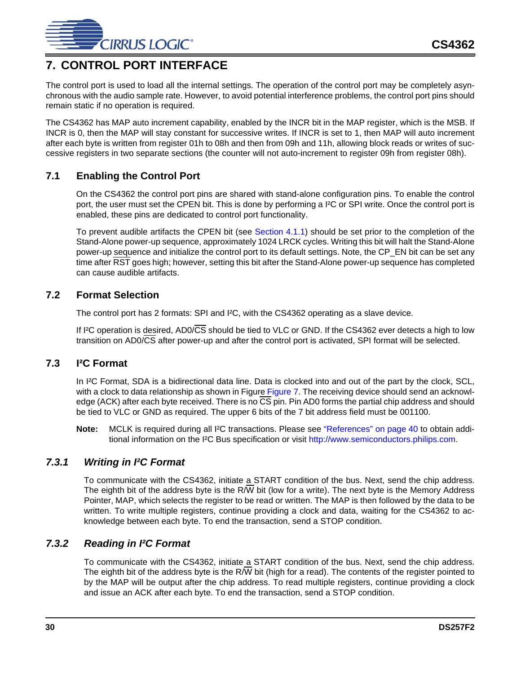

# <span id="page-29-0"></span>**7. CONTROL PORT INTERFACE**

The control port is used to load all the internal settings. The operation of the control port may be completely asynchronous with the audio sample rate. However, to avoid potential interference problems, the control port pins should remain static if no operation is required.

The CS4362 has MAP auto increment capability, enabled by the INCR bit in the MAP register, which is the MSB. If INCR is 0, then the MAP will stay constant for successive writes. If INCR is set to 1, then MAP will auto increment after each byte is written from register 01h to 08h and then from 09h and 11h, allowing block reads or writes of successive registers in two separate sections (the counter will not auto-increment to register 09h from register 08h).

# <span id="page-29-1"></span>**7.1 Enabling the Control Port**

On the CS4362 the control port pins are shared with stand-alone configuration pins. To enable the control port, the user must set the CPEN bit. This is done by performing a I²C or SPI write. Once the control port is enabled, these pins are dedicated to control port functionality.

To prevent audible artifacts the CPEN bit (see [Section 4.1.1\)](#page-15-2) should be set prior to the completion of the Stand-Alone power-up sequence, approximately 1024 LRCK cycles. Writing this bit will halt the Stand-Alone power-up sequence and initialize the control port to its default settings. Note, the CP\_EN bit can be set any time after RST goes high; however, setting this bit after the Stand-Alone power-up sequence has completed can cause audible artifacts.

### <span id="page-29-2"></span>**7.2 Format Selection**

The control port has 2 formats: SPI and I<sup>2</sup>C, with the CS4362 operating as a slave device.

If I<sup>2</sup>C operation is desired, AD0/CS should be tied to VLC or GND. If the CS4362 ever detects a high to low transition on AD0/CS after power-up and after the control port is activated, SPI format will be selected.

#### <span id="page-29-3"></span>**7.3 I²C Format**

In I<sup>2</sup>C Format, SDA is a bidirectional data line. Data is clocked into and out of the part by the clock, SCL, with a clock to data relationship as shown in Figure [Figure 7.](#page-30-0) The receiving device should send an acknowledge (ACK) after each byte received. There is no CS pin. Pin AD0 forms the partial chip address and should be tied to VLC or GND as required. The upper 6 bits of the 7 bit address field must be 001100.

**Note:** MCLK is required during all I<sup>2</sup>C transactions. Please see ["References" on page 40](#page-39-1) to obtain additional information on the I<sup>2</sup>C Bus specification or visit<http://www.semiconductors.philips.com>.

## <span id="page-29-4"></span>*7.3.1 Writing in I²C Format*

To communicate with the CS4362, initiate a START condition of the bus. Next, send the chip address. The eighth bit of the address byte is the R/W bit (low for a write). The next byte is the Memory Address Pointer, MAP, which selects the register to be read or written. The MAP is then followed by the data to be written. To write multiple registers, continue providing a clock and data, waiting for the CS4362 to acknowledge between each byte. To end the transaction, send a STOP condition.

## <span id="page-29-5"></span>*7.3.2 Reading in I²C Format*

To communicate with the CS4362, initiate a START condition of the bus. Next, send the chip address. The eighth bit of the address byte is the R/W bit (high for a read). The contents of the register pointed to by the MAP will be output after the chip address. To read multiple registers, continue providing a clock and issue an ACK after each byte. To end the transaction, send a STOP condition.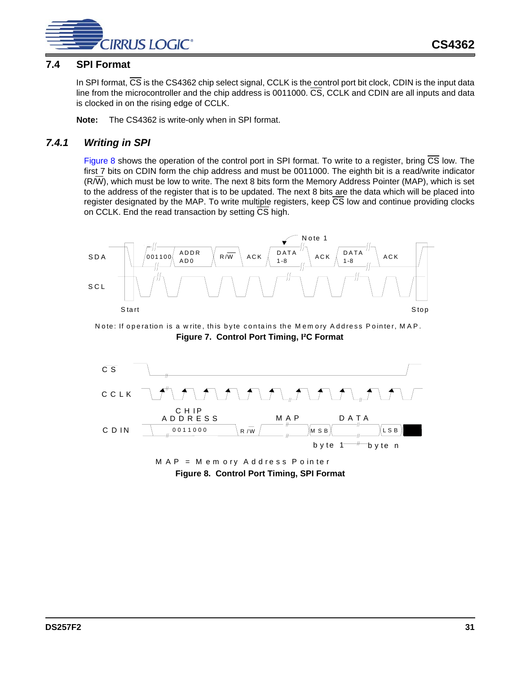

### <span id="page-30-2"></span>**7.4 SPI Format**

In SPI format, CS is the CS4362 chip select signal, CCLK is the control port bit clock, CDIN is the input data line from the microcontroller and the chip address is 0011000. CS, CCLK and CDIN are all inputs and data is clocked in on the rising edge of CCLK.

**Note:** The CS4362 is write-only when in SPI format.

### <span id="page-30-3"></span>*7.4.1 Writing in SPI*

[Figure 8](#page-30-1) shows the operation of the control port in SPI format. To write to a register, bring  $\overline{CS}$  low. The first 7 bits on CDIN form the chip address and must be 0011000. The eighth bit is a read/write indicator (R/W), which must be low to write. The next 8 bits form the Memory Address Pointer (MAP), which is set to the address of the register that is to be updated. The next 8 bits are the data which will be placed into register designated by the MAP. To write multiple registers, keep CS low and continue providing clocks on CCLK. End the read transaction by setting CS high.



<span id="page-30-0"></span>N ote: If operation is a w rite, this byte contains the M em ory A ddress P ointer, M A P. **Figure 7. Control Port Timing, I²C Format**



<span id="page-30-1"></span>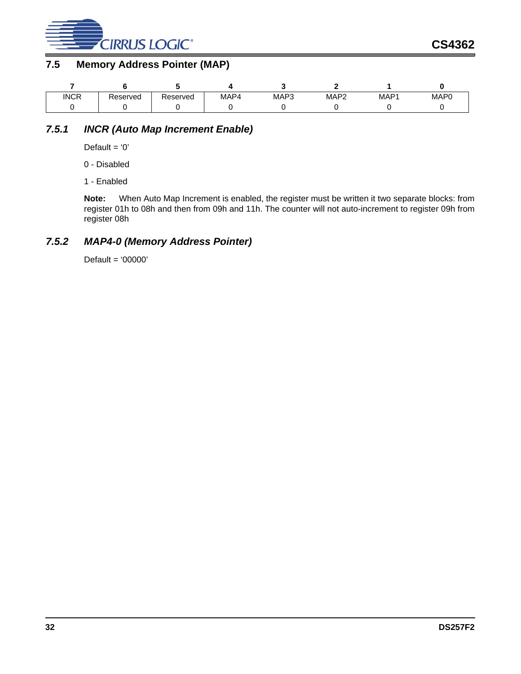

# <span id="page-31-0"></span>**7.5 Memory Address Pointer (MAP)**

| <b>INCR</b> | eserved? | Reserved | MAP4 | MAP3 | MAP <sup>∽</sup> | MAP1 | MAP <sub>0</sub> |
|-------------|----------|----------|------|------|------------------|------|------------------|
|             |          |          |      |      |                  |      |                  |

# <span id="page-31-1"></span>*7.5.1 INCR (Auto Map Increment Enable)*

Default =  $'0'$ 

0 - Disabled

1 - Enabled

**Note:** When Auto Map Increment is enabled, the register must be written it two separate blocks: from register 01h to 08h and then from 09h and 11h. The counter will not auto-increment to register 09h from register 08h

# <span id="page-31-2"></span>*7.5.2 MAP4-0 (Memory Address Pointer)*

Default = '00000'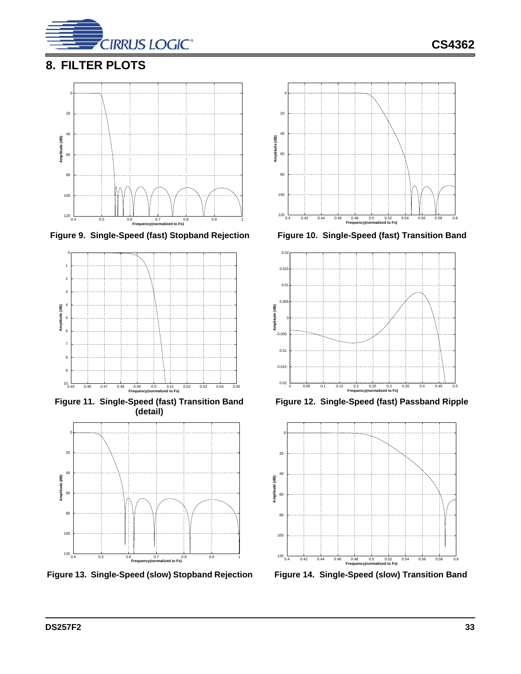

# <span id="page-32-6"></span>**8. FILTER PLOTS**





<span id="page-32-2"></span>**Figure 11. Single-Speed (fast) Transition Band (detail)** 



<span id="page-32-4"></span>**Figure 13. Single-Speed (slow) Stopband Rejection Figure 14. Single-Speed (slow) Transition Band**



<span id="page-32-0"></span>Figure 9. Single-Speed (fast) Stopband Rejection Figure 10. Single-Speed (fast) Transition Band

<span id="page-32-1"></span>

<span id="page-32-3"></span>**Figure 12. Single-Speed (fast) Passband Ripple**



<span id="page-32-5"></span>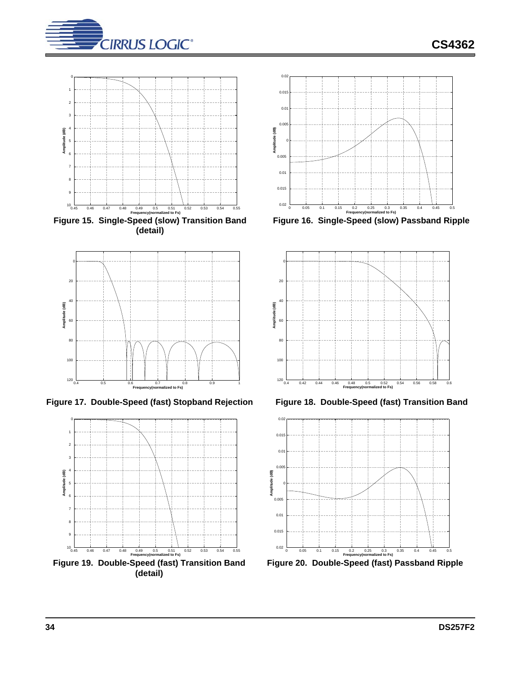



<span id="page-33-0"></span>**(detail)**



<span id="page-33-2"></span>**Figure 17. Double-Speed (fast) Stopband Rejection Figure 18. Double-Speed (fast) Transition Band**

<span id="page-33-4"></span>



<span id="page-33-1"></span>**Figure 16. Single-Speed (slow) Passband Ripple**



<span id="page-33-3"></span>

<span id="page-33-5"></span>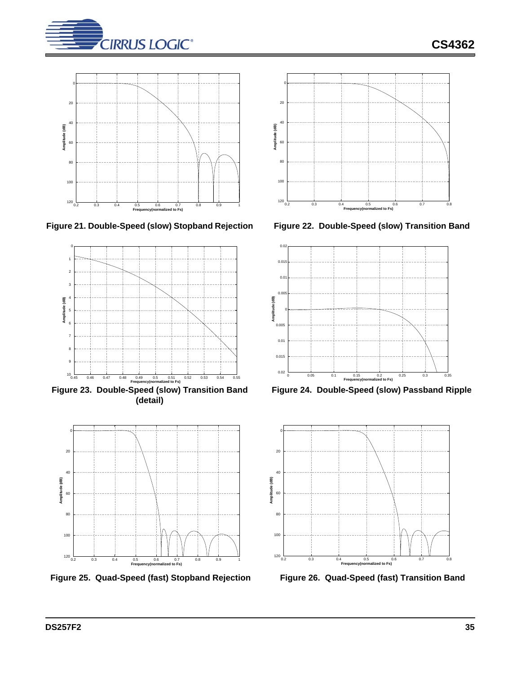



<span id="page-34-0"></span>



<span id="page-34-2"></span>**Figure 23. Double-Speed (slow) Transition Band (detail)**



<span id="page-34-4"></span>**Figure 25. Quad-Speed (fast) Stopband Rejection Figure 26. Quad-Speed (fast) Transition Band**



<span id="page-34-1"></span>



<span id="page-34-3"></span>**Figure 24. Double-Speed (slow) Passband Ripple**



<span id="page-34-5"></span>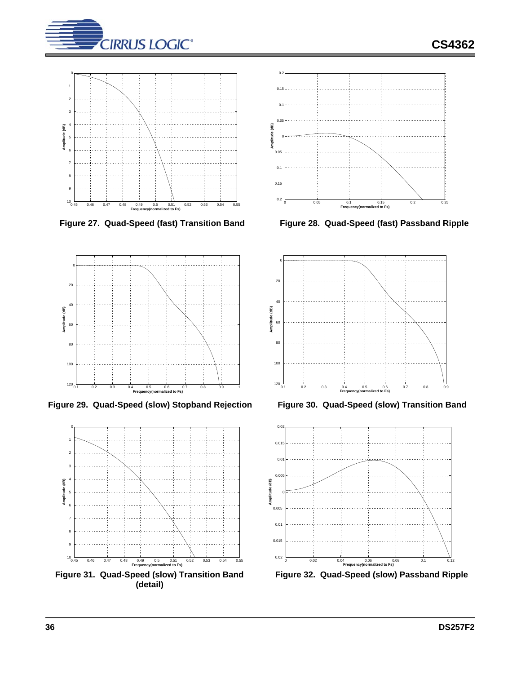

**CS4362**





<span id="page-35-2"></span>**Figure 29. Quad-Speed (slow) Stopband Rejection Figure 30. Quad-Speed (slow) Transition Band**



<span id="page-35-4"></span>**Figure 31. Quad-Speed (slow) Transition Band (detail)**



<span id="page-35-0"></span>**Figure 27. Quad-Speed (fast) Transition Band Figure 28. Quad-Speed (fast) Passband Ripple**

<span id="page-35-1"></span>

<span id="page-35-3"></span>



<span id="page-35-5"></span>**Figure 32. Quad-Speed (slow) Passband Ripple**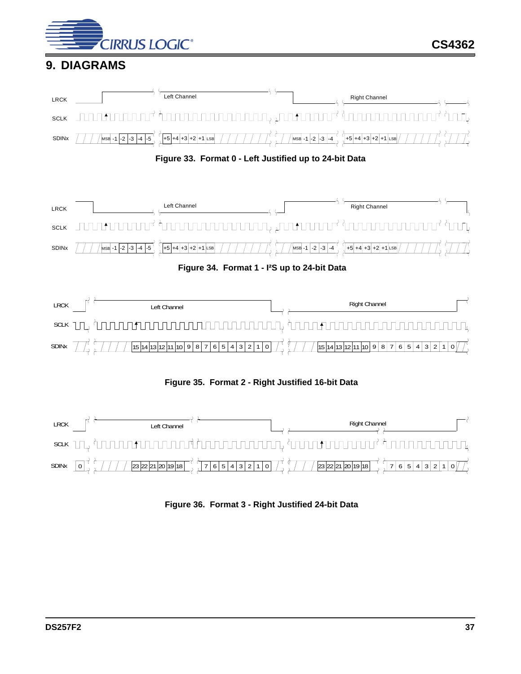

# <span id="page-36-0"></span>**9. DIAGRAMS**



**Figure 33. Format 0 - Left Justified up to 24-bit Data**

<span id="page-36-1"></span>

<span id="page-36-2"></span>

**Figure 35. Format 2 - Right Justified 16-bit Data**

<span id="page-36-4"></span><span id="page-36-3"></span>

**Figure 36. Format 3 - Right Justified 24-bit Data**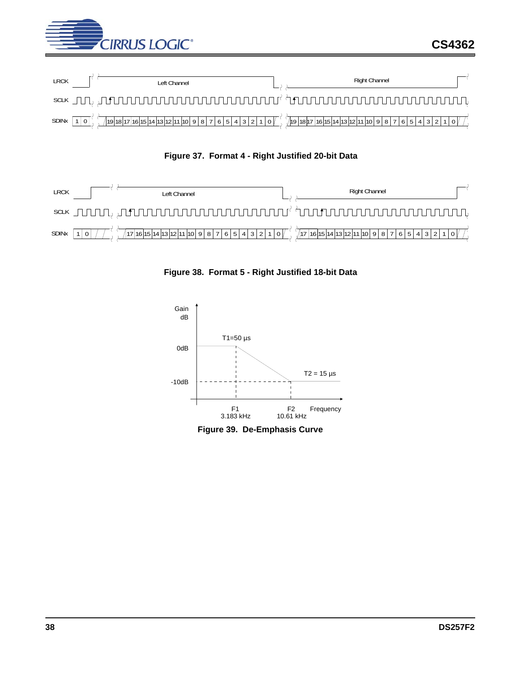





<span id="page-37-1"></span><span id="page-37-0"></span>

**Figure 38. Format 5 - Right Justified 18-bit Data**



<span id="page-37-2"></span>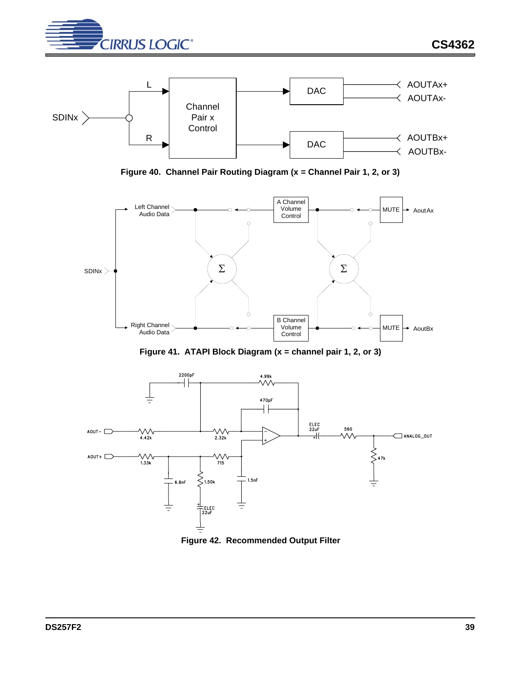



**Figure 40. Channel Pair Routing Diagram (x = Channel Pair 1, 2, or 3)**

<span id="page-38-0"></span>

**Figure 41. ATAPI Block Diagram (x = channel pair 1, 2, or 3)**

<span id="page-38-1"></span>

<span id="page-38-2"></span>**Figure 42. Recommended Output Filter**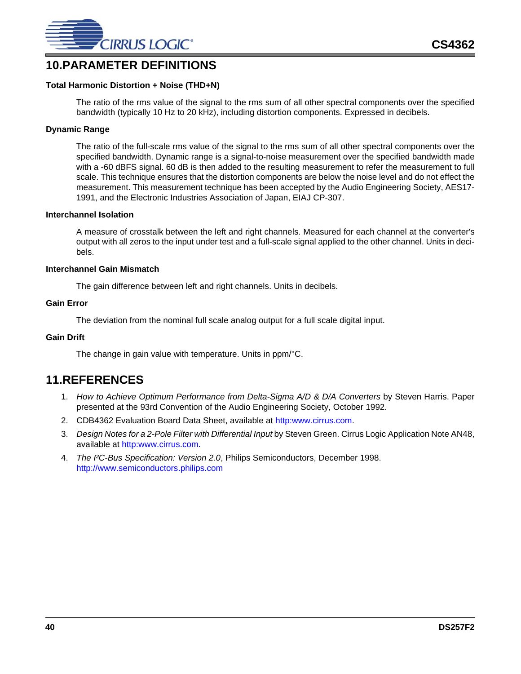

# <span id="page-39-0"></span>**10.PARAMETER DEFINITIONS**

#### **Total Harmonic Distortion + Noise (THD+N)**

The ratio of the rms value of the signal to the rms sum of all other spectral components over the specified bandwidth (typically 10 Hz to 20 kHz), including distortion components. Expressed in decibels.

#### **Dynamic Range**

The ratio of the full-scale rms value of the signal to the rms sum of all other spectral components over the specified bandwidth. Dynamic range is a signal-to-noise measurement over the specified bandwidth made with a -60 dBFS signal. 60 dB is then added to the resulting measurement to refer the measurement to full scale. This technique ensures that the distortion components are below the noise level and do not effect the measurement. This measurement technique has been accepted by the Audio Engineering Society, AES17- 1991, and the Electronic Industries Association of Japan, EIAJ CP-307.

#### **Interchannel Isolation**

A measure of crosstalk between the left and right channels. Measured for each channel at the converter's output with all zeros to the input under test and a full-scale signal applied to the other channel. Units in decibels.

#### **Interchannel Gain Mismatch**

The gain difference between left and right channels. Units in decibels.

#### **Gain Error**

The deviation from the nominal full scale analog output for a full scale digital input.

#### **Gain Drift**

The change in gain value with temperature. Units in ppm/°C.

# <span id="page-39-1"></span>**11.REFERENCES**

- 1. *How to Achieve Optimum Performance from Delta-Sigma A/D & D/A Converters* by Steven Harris. Paper presented at the 93rd Convention of the Audio Engineering Society, October 1992.
- 2. CDB4362 Evaluation Board Data Sheet, available at [http:www.cirrus.com.](http:www.cirrus.com)
- 3. *Design Notes for a 2-Pole Filter with Differential Input* by Steven Green. Cirrus Logic Application Note AN48, available at [http:www.cirrus.com.](http:www.cirrus.com)
- 4. *The I²C-Bus Specification: Version 2.0*, Philips Semiconductors, December 1998. <http://www.semiconductors.philips.com>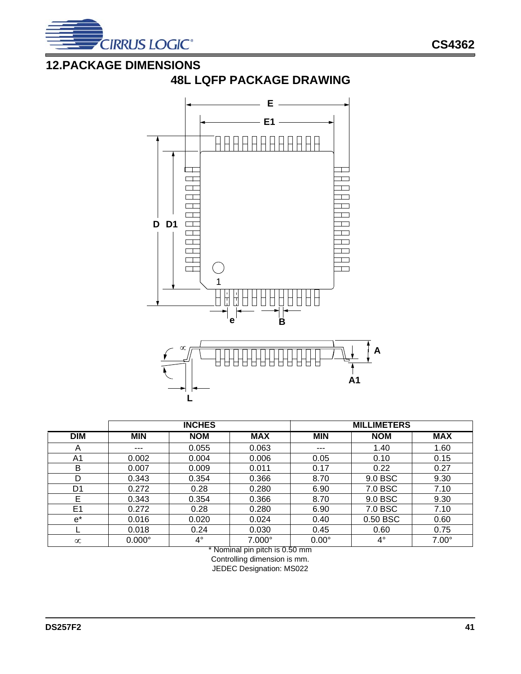

# <span id="page-40-0"></span>**12.PACKAGE DIMENSIONS**



# **48L LQFP PACKAGE DRAWING**

|                |               | <b>INCHES</b> |               |              | <b>MILLIMETERS</b> |              |
|----------------|---------------|---------------|---------------|--------------|--------------------|--------------|
| <b>DIM</b>     | <b>MIN</b>    | <b>NOM</b>    | <b>MAX</b>    | <b>MIN</b>   | <b>NOM</b>         | <b>MAX</b>   |
| A              | $---$         | 0.055         | 0.063         | $---$        | 1.40               | 1.60         |
| A1             | 0.002         | 0.004         | 0.006         | 0.05         | 0.10               | 0.15         |
| B              | 0.007         | 0.009         | 0.011         | 0.17         | 0.22               | 0.27         |
| D              | 0.343         | 0.354         | 0.366         | 8.70         | 9.0 BSC            | 9.30         |
| D <sub>1</sub> | 0.272         | 0.28          | 0.280         | 6.90         | 7.0 BSC            | 7.10         |
| E              | 0.343         | 0.354         | 0.366         | 8.70         | 9.0 BSC            | 9.30         |
| E <sub>1</sub> | 0.272         | 0.28          | 0.280         | 6.90         | 7.0 BSC            | 7.10         |
| $e^*$          | 0.016         | 0.020         | 0.024         | 0.40         | 0.50 BSC           | 0.60         |
|                | 0.018         | 0.24          | 0.030         | 0.45         | 0.60               | 0.75         |
| $\infty$       | $0.000^\circ$ | $4^{\circ}$   | $7.000^\circ$ | $0.00^\circ$ | $4^{\circ}$        | $7.00^\circ$ |

\* Nominal pin pitch is 0.50 mm

Controlling dimension is mm. JEDEC Designation: MS022